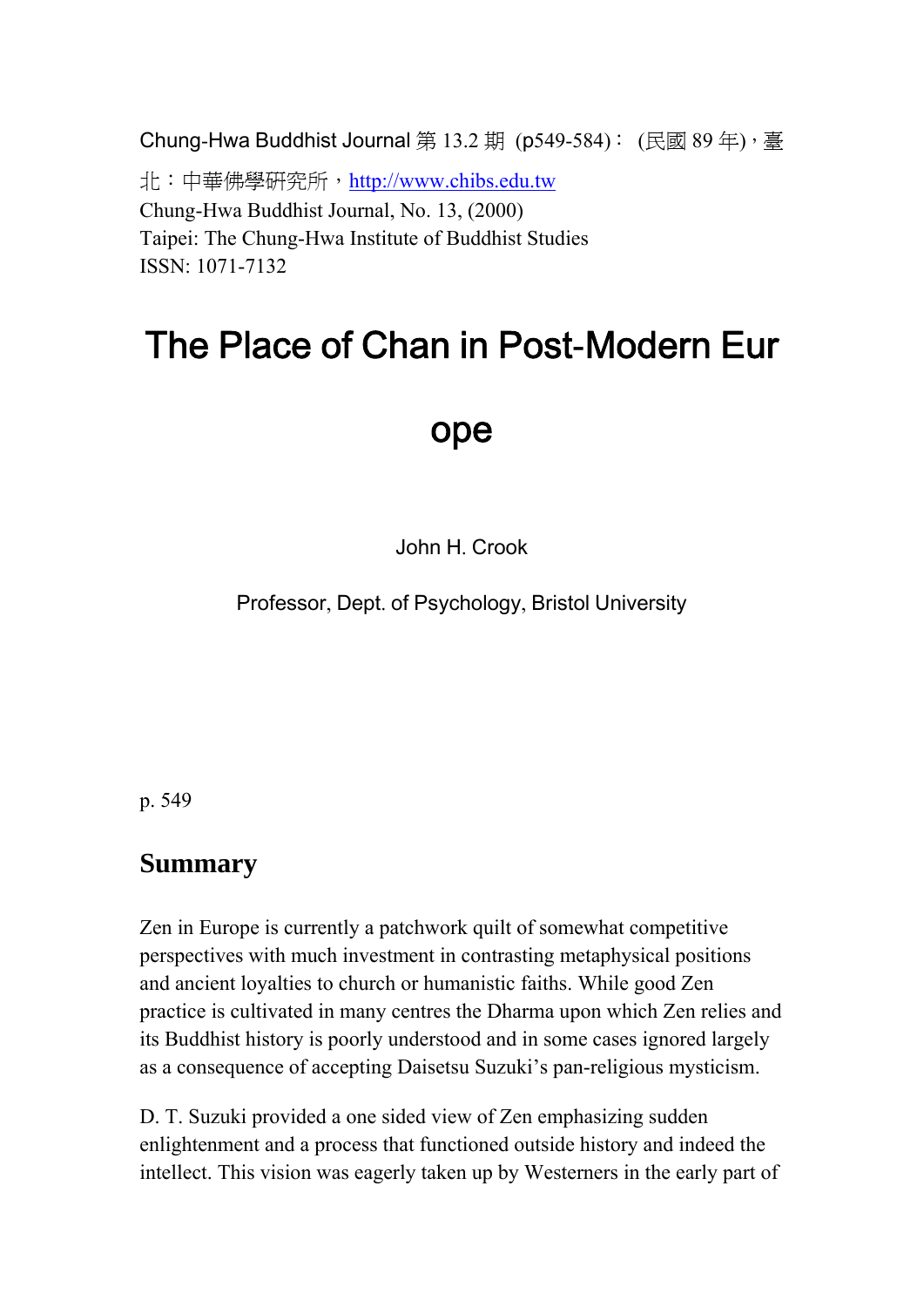Chung-Hwa Buddhist Journal 第 13.2 期 (p549-584): (民國 89 年),臺 北:中華佛學研究所,[http://www.chibs.edu.tw](http://www.chibs.edu.tw/) Chung-Hwa Buddhist Journal, No. 13, (2000) Taipei: The Chung-Hwa Institute of Buddhist Studies ISSN: 1071-7132

# The Place of Chan in Post**-**Modern Eur

## ope

John H. Crook

Professor, Dept. of Psychology, Bristol University

p. 549

## **Summary**

Zen in Europe is currently a patchwork quilt of somewhat competitive perspectives with much investment in contrasting metaphysical positions and ancient loyalties to church or humanistic faiths. While good Zen practice is cultivated in many centres the Dharma upon which Zen relies and its Buddhist history is poorly understood and in some cases ignored largely as a consequence of accepting Daisetsu Suzuki's pan-religious mysticism.

D. T. Suzuki provided a one sided view of Zen emphasizing sudden enlightenment and a process that functioned outside history and indeed the intellect. This vision was eagerly taken up by Westerners in the early part of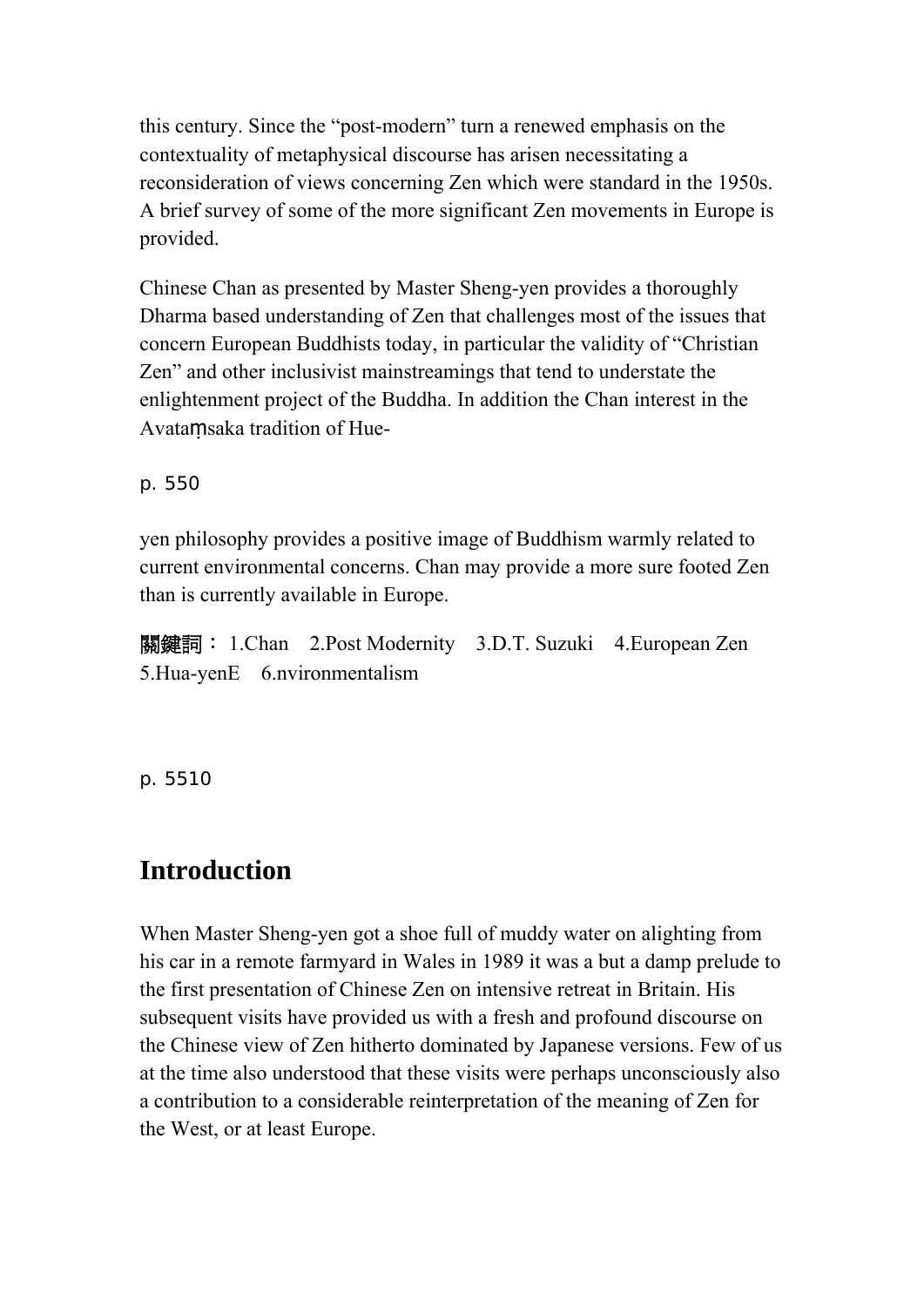this century. Since the "post-modern" turn a renewed emphasis on the contextuality of metaphysical discourse has arisen necessitating a reconsideration of views concerning Zen which were standard in the 1950s. A brief survey of some of the more significant Zen movements in Europe is provided.

Chinese Chan as presented by Master Sheng-yen provides a thoroughly Dharma based understanding of Zen that challenges most of the issues that concern European Buddhists today, in particular the validity of "Christian Zen" and other inclusivist mainstreamings that tend to understate the enlightenment project of the Buddha. In addition the Chan interest in the Avataṃsaka tradition of Hue-

p. 550

yen philosophy provides a positive image of Buddhism warmly related to current environmental concerns. Chan may provide a more sure footed Zen than is currently available in Europe.

關鍵詞: 1.Chan 2.Post Modernity 3.D.T. Suzuki 4.European Zen 5.Hua-yenE 6.nvironmentalism

p. 5510

## **Introduction**

When Master Sheng-yen got a shoe full of muddy water on alighting from his car in a remote farmyard in Wales in 1989 it was a but a damp prelude to the first presentation of Chinese Zen on intensive retreat in Britain. His subsequent visits have provided us with a fresh and profound discourse on the Chinese view of Zen hitherto dominated by Japanese versions. Few of us at the time also understood that these visits were perhaps unconsciously also a contribution to a considerable reinterpretation of the meaning of Zen for the West, or at least Europe.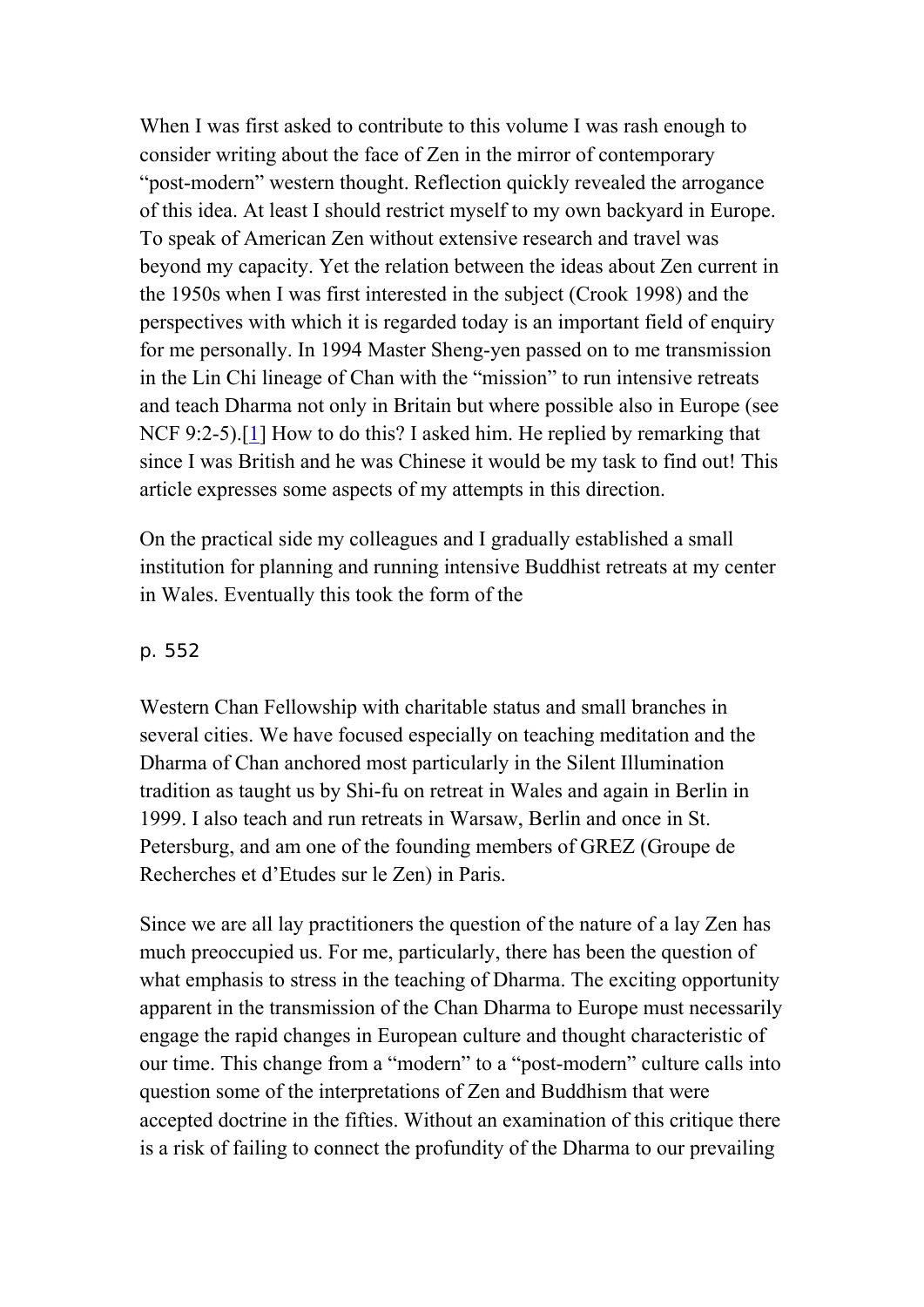When I was first asked to contribute to this volume I was rash enough to consider writing about the face of Zen in the mirror of contemporary "post-modern" western thought. Reflection quickly revealed the arrogance of this idea. At least I should restrict myself to my own backyard in Europe. To speak of American Zen without extensive research and travel was beyond my capacity. Yet the relation between the ideas about Zen current in the 1950s when I was first interested in the subject (Crook 1998) and the perspectives with which it is regarded today is an important field of enquiry for me personally. In 1994 Master Sheng-yen passed on to me transmission in the Lin Chi lineage of Chan with the "mission" to run intensive retreats and teach Dharma not only in Britain but where possible also in Europe (see NCF 9:2-5).[\[1](http://www.chibs.edu.tw/ch_html/chbj/13/chbj1345.htm#nf1)] How to do this? I asked him. He replied by remarking that since I was British and he was Chinese it would be my task to find out! This article expresses some aspects of my attempts in this direction.

On the practical side my colleagues and I gradually established a small institution for planning and running intensive Buddhist retreats at my center in Wales. Eventually this took the form of the

### p. 552

Western Chan Fellowship with charitable status and small branches in several cities. We have focused especially on teaching meditation and the Dharma of Chan anchored most particularly in the Silent Illumination tradition as taught us by Shi-fu on retreat in Wales and again in Berlin in 1999. I also teach and run retreats in Warsaw, Berlin and once in St. Petersburg, and am one of the founding members of GREZ (Groupe de Recherches et d'Etudes sur le Zen) in Paris.

Since we are all lay practitioners the question of the nature of a lay Zen has much preoccupied us. For me, particularly, there has been the question of what emphasis to stress in the teaching of Dharma. The exciting opportunity apparent in the transmission of the Chan Dharma to Europe must necessarily engage the rapid changes in European culture and thought characteristic of our time. This change from a "modern" to a "post-modern" culture calls into question some of the interpretations of Zen and Buddhism that were accepted doctrine in the fifties. Without an examination of this critique there is a risk of failing to connect the profundity of the Dharma to our prevailing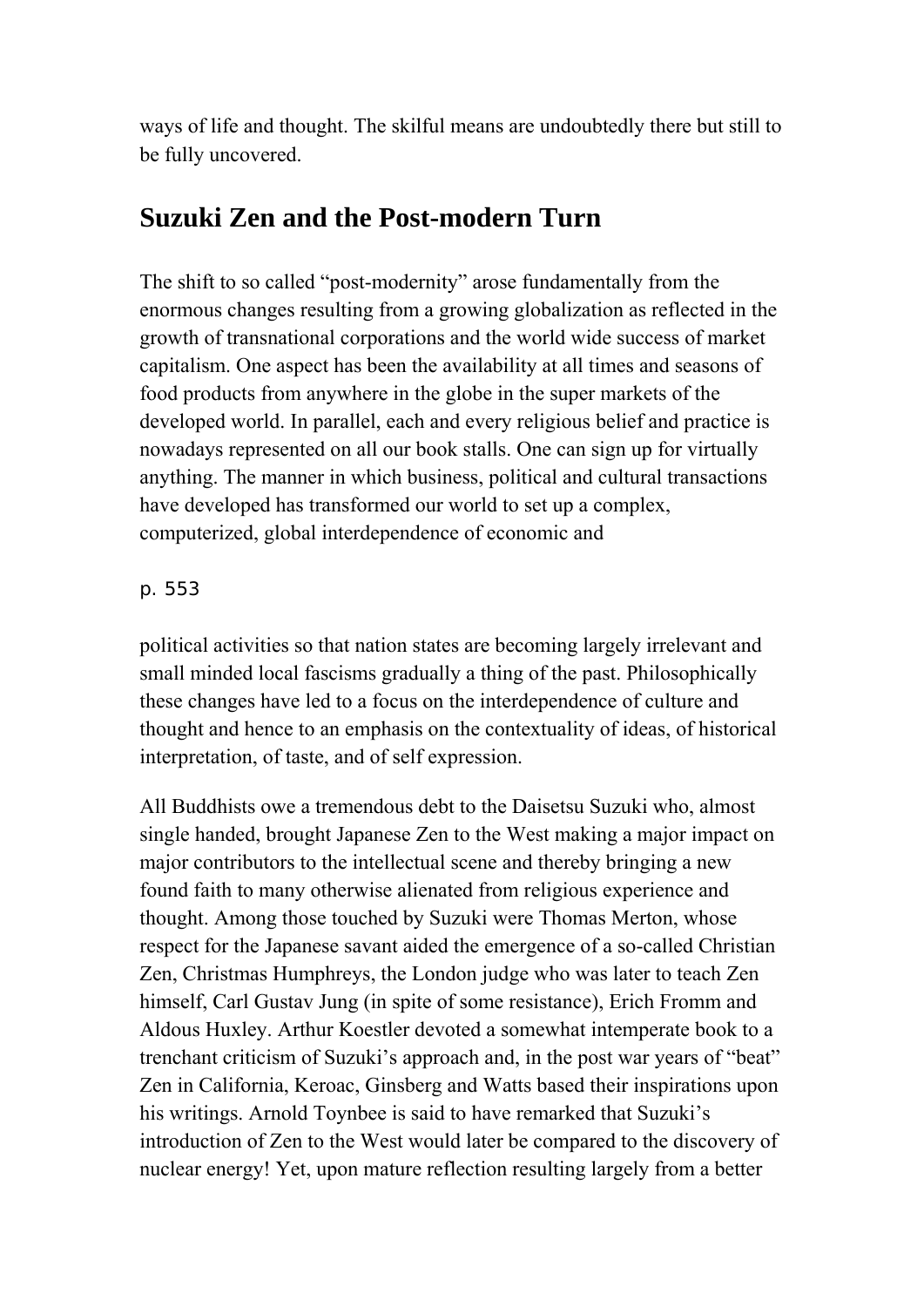ways of life and thought. The skilful means are undoubtedly there but still to be fully uncovered.

## **Suzuki Zen and the Post-modern Turn**

The shift to so called "post-modernity" arose fundamentally from the enormous changes resulting from a growing globalization as reflected in the growth of transnational corporations and the world wide success of market capitalism. One aspect has been the availability at all times and seasons of food products from anywhere in the globe in the super markets of the developed world. In parallel, each and every religious belief and practice is nowadays represented on all our book stalls. One can sign up for virtually anything. The manner in which business, political and cultural transactions have developed has transformed our world to set up a complex, computerized, global interdependence of economic and

## p. 553

political activities so that nation states are becoming largely irrelevant and small minded local fascisms gradually a thing of the past. Philosophically these changes have led to a focus on the interdependence of culture and thought and hence to an emphasis on the contextuality of ideas, of historical interpretation, of taste, and of self expression.

All Buddhists owe a tremendous debt to the Daisetsu Suzuki who, almost single handed, brought Japanese Zen to the West making a major impact on major contributors to the intellectual scene and thereby bringing a new found faith to many otherwise alienated from religious experience and thought. Among those touched by Suzuki were Thomas Merton, whose respect for the Japanese savant aided the emergence of a so-called Christian Zen, Christmas Humphreys, the London judge who was later to teach Zen himself, Carl Gustav Jung (in spite of some resistance), Erich Fromm and Aldous Huxley. Arthur Koestler devoted a somewhat intemperate book to a trenchant criticism of Suzuki's approach and, in the post war years of "beat" Zen in California, Keroac, Ginsberg and Watts based their inspirations upon his writings. Arnold Toynbee is said to have remarked that Suzuki's introduction of Zen to the West would later be compared to the discovery of nuclear energy! Yet, upon mature reflection resulting largely from a better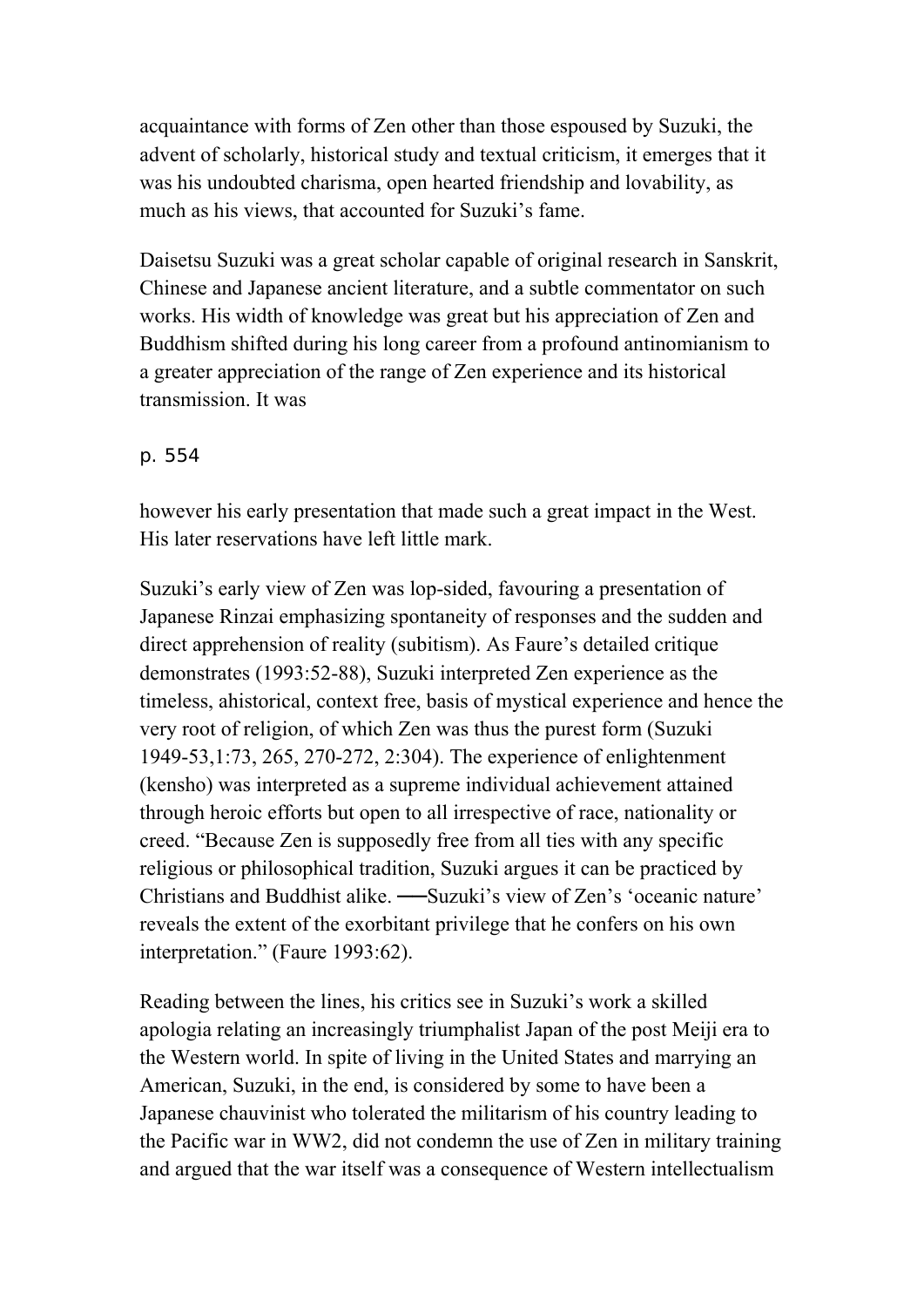acquaintance with forms of Zen other than those espoused by Suzuki, the advent of scholarly, historical study and textual criticism, it emerges that it was his undoubted charisma, open hearted friendship and lovability, as much as his views, that accounted for Suzuki's fame.

Daisetsu Suzuki was a great scholar capable of original research in Sanskrit, Chinese and Japanese ancient literature, and a subtle commentator on such works. His width of knowledge was great but his appreciation of Zen and Buddhism shifted during his long career from a profound antinomianism to a greater appreciation of the range of Zen experience and its historical transmission. It was

### p. 554

however his early presentation that made such a great impact in the West. His later reservations have left little mark.

Suzuki's early view of Zen was lop-sided, favouring a presentation of Japanese Rinzai emphasizing spontaneity of responses and the sudden and direct apprehension of reality (subitism). As Faure's detailed critique demonstrates (1993:52-88), Suzuki interpreted Zen experience as the timeless, ahistorical, context free, basis of mystical experience and hence the very root of religion, of which Zen was thus the purest form (Suzuki 1949-53,1:73, 265, 270-272, 2:304). The experience of enlightenment (kensho) was interpreted as a supreme individual achievement attained through heroic efforts but open to all irrespective of race, nationality or creed. "Because Zen is supposedly free from all ties with any specific religious or philosophical tradition, Suzuki argues it can be practiced by Christians and Buddhist alike. ──Suzuki's view of Zen's 'oceanic nature' reveals the extent of the exorbitant privilege that he confers on his own interpretation." (Faure 1993:62).

Reading between the lines, his critics see in Suzuki's work a skilled apologia relating an increasingly triumphalist Japan of the post Meiji era to the Western world. In spite of living in the United States and marrying an American, Suzuki, in the end, is considered by some to have been a Japanese chauvinist who tolerated the militarism of his country leading to the Pacific war in WW2, did not condemn the use of Zen in military training and argued that the war itself was a consequence of Western intellectualism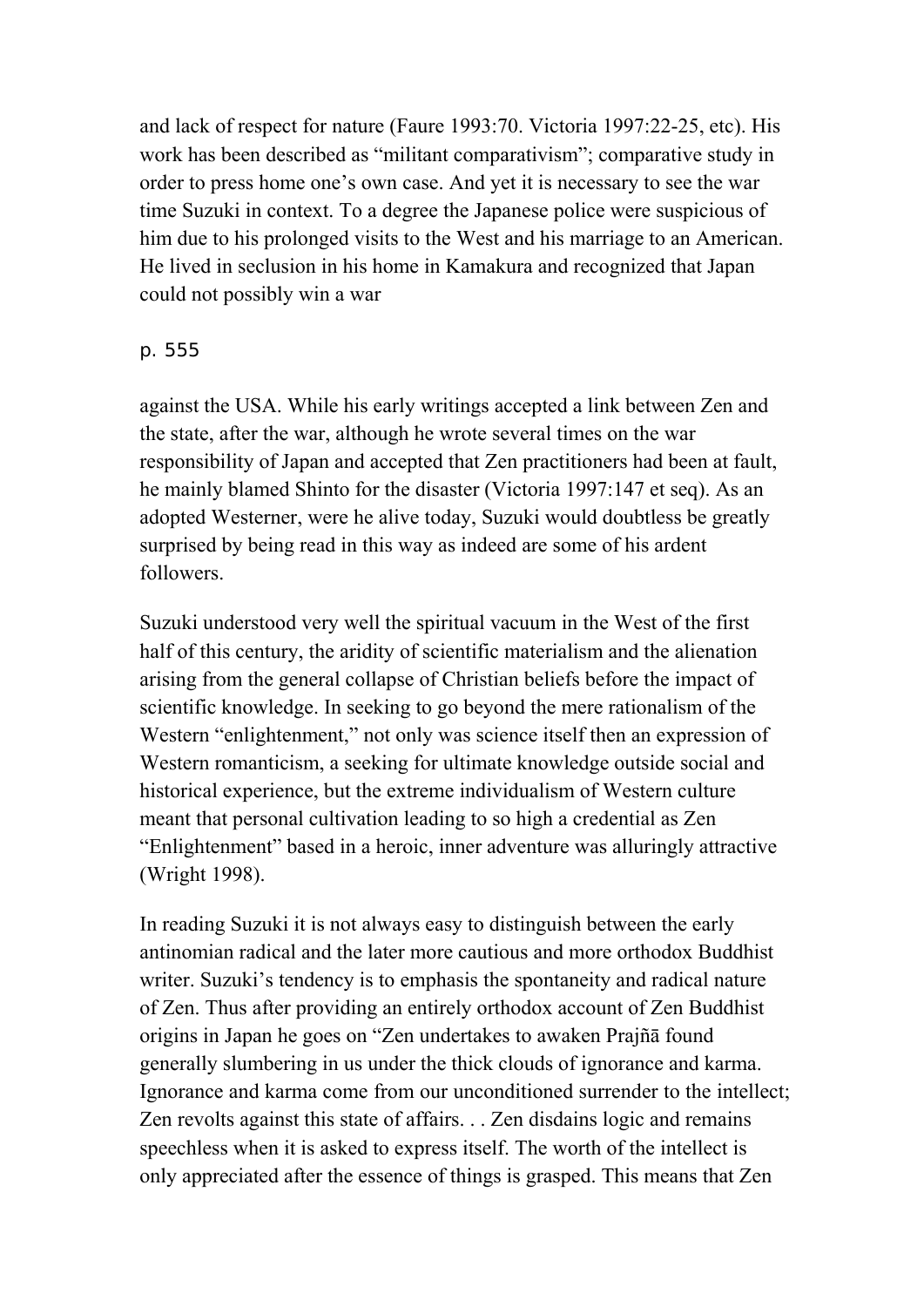and lack of respect for nature (Faure 1993:70. Victoria 1997:22-25, etc). His work has been described as "militant comparativism"; comparative study in order to press home one's own case. And yet it is necessary to see the war time Suzuki in context. To a degree the Japanese police were suspicious of him due to his prolonged visits to the West and his marriage to an American. He lived in seclusion in his home in Kamakura and recognized that Japan could not possibly win a war

## p. 555

against the USA. While his early writings accepted a link between Zen and the state, after the war, although he wrote several times on the war responsibility of Japan and accepted that Zen practitioners had been at fault, he mainly blamed Shinto for the disaster (Victoria 1997:147 et seq). As an adopted Westerner, were he alive today, Suzuki would doubtless be greatly surprised by being read in this way as indeed are some of his ardent followers.

Suzuki understood very well the spiritual vacuum in the West of the first half of this century, the aridity of scientific materialism and the alienation arising from the general collapse of Christian beliefs before the impact of scientific knowledge. In seeking to go beyond the mere rationalism of the Western "enlightenment," not only was science itself then an expression of Western romanticism, a seeking for ultimate knowledge outside social and historical experience, but the extreme individualism of Western culture meant that personal cultivation leading to so high a credential as Zen "Enlightenment" based in a heroic, inner adventure was alluringly attractive (Wright 1998).

In reading Suzuki it is not always easy to distinguish between the early antinomian radical and the later more cautious and more orthodox Buddhist writer. Suzuki's tendency is to emphasis the spontaneity and radical nature of Zen. Thus after providing an entirely orthodox account of Zen Buddhist origins in Japan he goes on "Zen undertakes to awaken Prajñā found generally slumbering in us under the thick clouds of ignorance and karma. Ignorance and karma come from our unconditioned surrender to the intellect; Zen revolts against this state of affairs. . . Zen disdains logic and remains speechless when it is asked to express itself. The worth of the intellect is only appreciated after the essence of things is grasped. This means that Zen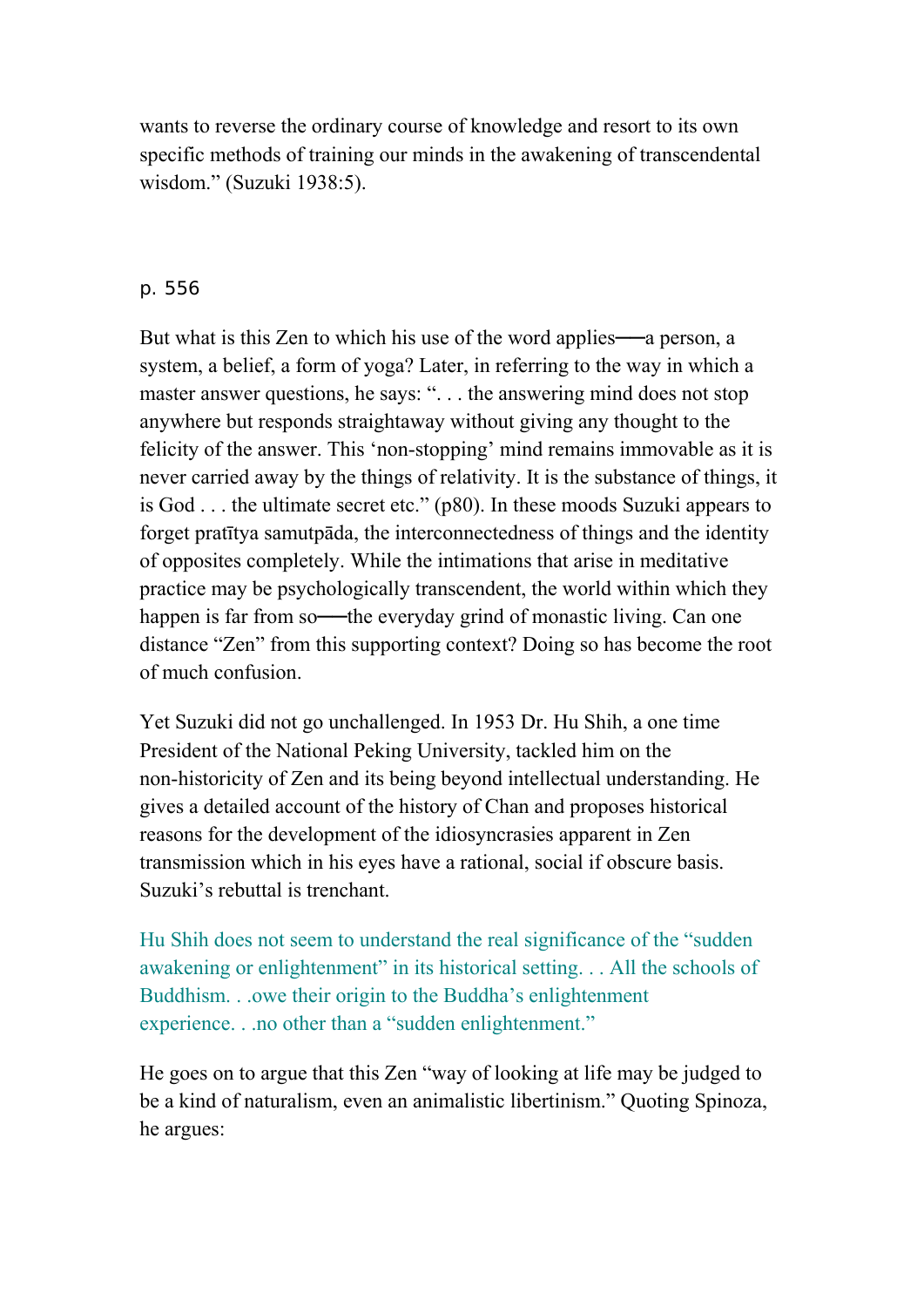wants to reverse the ordinary course of knowledge and resort to its own specific methods of training our minds in the awakening of transcendental wisdom." (Suzuki 1938:5).

## p. 556

But what is this Zen to which his use of the word applies—a person, a system, a belief, a form of yoga? Later, in referring to the way in which a master answer questions, he says: ". . . the answering mind does not stop anywhere but responds straightaway without giving any thought to the felicity of the answer. This 'non-stopping' mind remains immovable as it is never carried away by the things of relativity. It is the substance of things, it is God . . . the ultimate secret etc." (p80). In these moods Suzuki appears to forget pratītya samutpāda, the interconnectedness of things and the identity of opposites completely. While the intimations that arise in meditative practice may be psychologically transcendent, the world within which they happen is far from so—the everyday grind of monastic living. Can one distance "Zen" from this supporting context? Doing so has become the root of much confusion.

Yet Suzuki did not go unchallenged. In 1953 Dr. Hu Shih, a one time President of the National Peking University, tackled him on the non-historicity of Zen and its being beyond intellectual understanding. He gives a detailed account of the history of Chan and proposes historical reasons for the development of the idiosyncrasies apparent in Zen transmission which in his eyes have a rational, social if obscure basis. Suzuki's rebuttal is trenchant.

Hu Shih does not seem to understand the real significance of the "sudden awakening or enlightenment" in its historical setting. . . All the schools of Buddhism. . .owe their origin to the Buddha's enlightenment experience. . .no other than a "sudden enlightenment."

He goes on to argue that this Zen "way of looking at life may be judged to be a kind of naturalism, even an animalistic libertinism." Quoting Spinoza, he argues: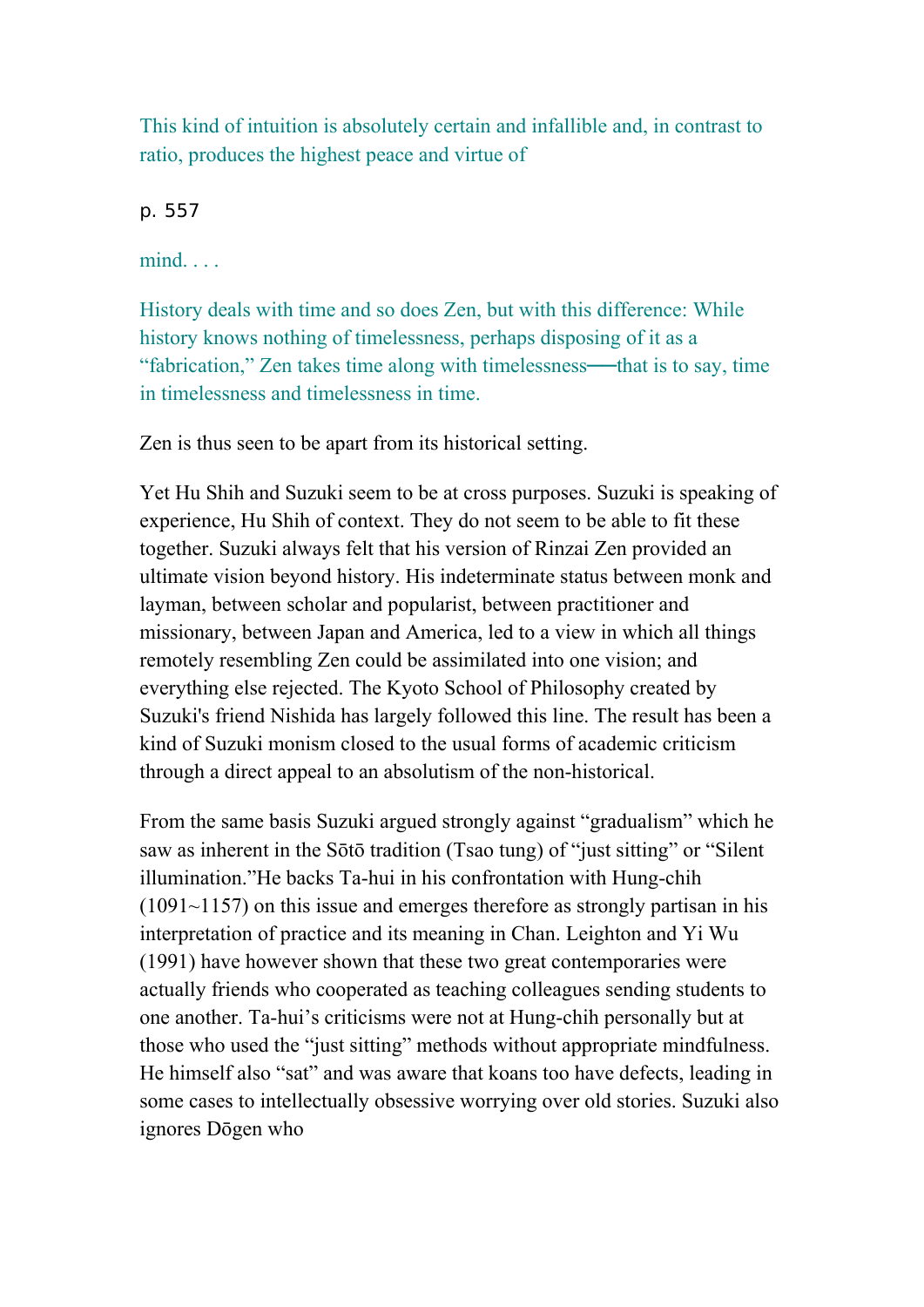This kind of intuition is absolutely certain and infallible and, in contrast to ratio, produces the highest peace and virtue of

p. 557

mind. . . .

History deals with time and so does Zen, but with this difference: While history knows nothing of timelessness, perhaps disposing of it as a "fabrication," Zen takes time along with timelessness──that is to say, time in timelessness and timelessness in time.

Zen is thus seen to be apart from its historical setting.

Yet Hu Shih and Suzuki seem to be at cross purposes. Suzuki is speaking of experience, Hu Shih of context. They do not seem to be able to fit these together. Suzuki always felt that his version of Rinzai Zen provided an ultimate vision beyond history. His indeterminate status between monk and layman, between scholar and popularist, between practitioner and missionary, between Japan and America, led to a view in which all things remotely resembling Zen could be assimilated into one vision; and everything else rejected. The Kyoto School of Philosophy created by Suzuki's friend Nishida has largely followed this line. The result has been a kind of Suzuki monism closed to the usual forms of academic criticism through a direct appeal to an absolutism of the non-historical.

From the same basis Suzuki argued strongly against "gradualism" which he saw as inherent in the Sōtō tradition (Tsao tung) of "just sitting" or "Silent illumination."He backs Ta-hui in his confrontation with Hung-chih  $(1091-1157)$  on this issue and emerges therefore as strongly partisan in his interpretation of practice and its meaning in Chan. Leighton and Yi Wu (1991) have however shown that these two great contemporaries were actually friends who cooperated as teaching colleagues sending students to one another. Ta-hui's criticisms were not at Hung-chih personally but at those who used the "just sitting" methods without appropriate mindfulness. He himself also "sat" and was aware that koans too have defects, leading in some cases to intellectually obsessive worrying over old stories. Suzuki also ignores Dōgen who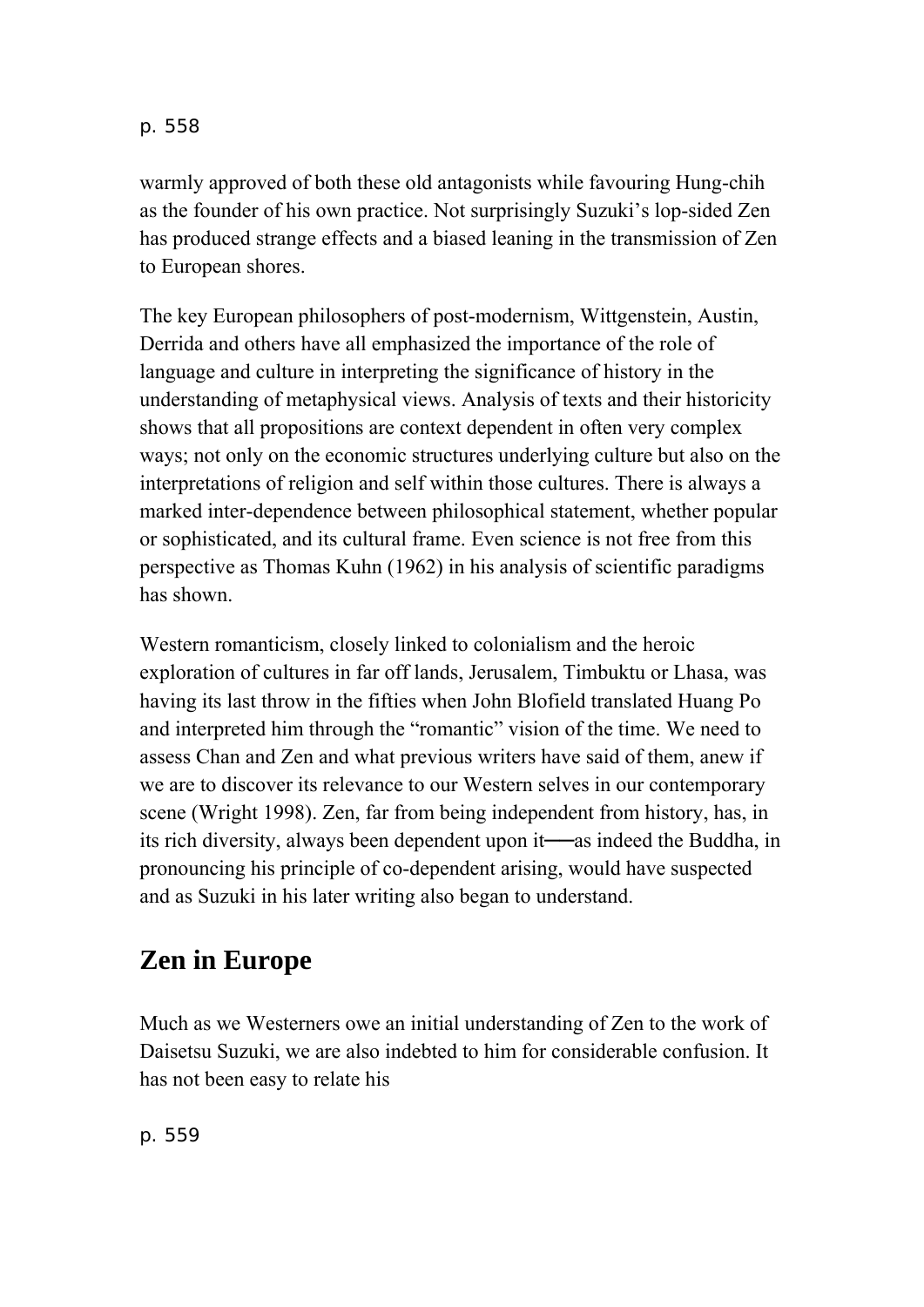warmly approved of both these old antagonists while favouring Hung-chih as the founder of his own practice. Not surprisingly Suzuki's lop-sided Zen has produced strange effects and a biased leaning in the transmission of Zen to European shores.

The key European philosophers of post-modernism, Wittgenstein, Austin, Derrida and others have all emphasized the importance of the role of language and culture in interpreting the significance of history in the understanding of metaphysical views. Analysis of texts and their historicity shows that all propositions are context dependent in often very complex ways; not only on the economic structures underlying culture but also on the interpretations of religion and self within those cultures. There is always a marked inter-dependence between philosophical statement, whether popular or sophisticated, and its cultural frame. Even science is not free from this perspective as Thomas Kuhn (1962) in his analysis of scientific paradigms has shown.

Western romanticism, closely linked to colonialism and the heroic exploration of cultures in far off lands, Jerusalem, Timbuktu or Lhasa, was having its last throw in the fifties when John Blofield translated Huang Po and interpreted him through the "romantic" vision of the time. We need to assess Chan and Zen and what previous writers have said of them, anew if we are to discover its relevance to our Western selves in our contemporary scene (Wright 1998). Zen, far from being independent from history, has, in its rich diversity, always been dependent upon it──as indeed the Buddha, in pronouncing his principle of co-dependent arising, would have suspected and as Suzuki in his later writing also began to understand.

## **Zen in Europe**

Much as we Westerners owe an initial understanding of Zen to the work of Daisetsu Suzuki, we are also indebted to him for considerable confusion. It has not been easy to relate his

p. 559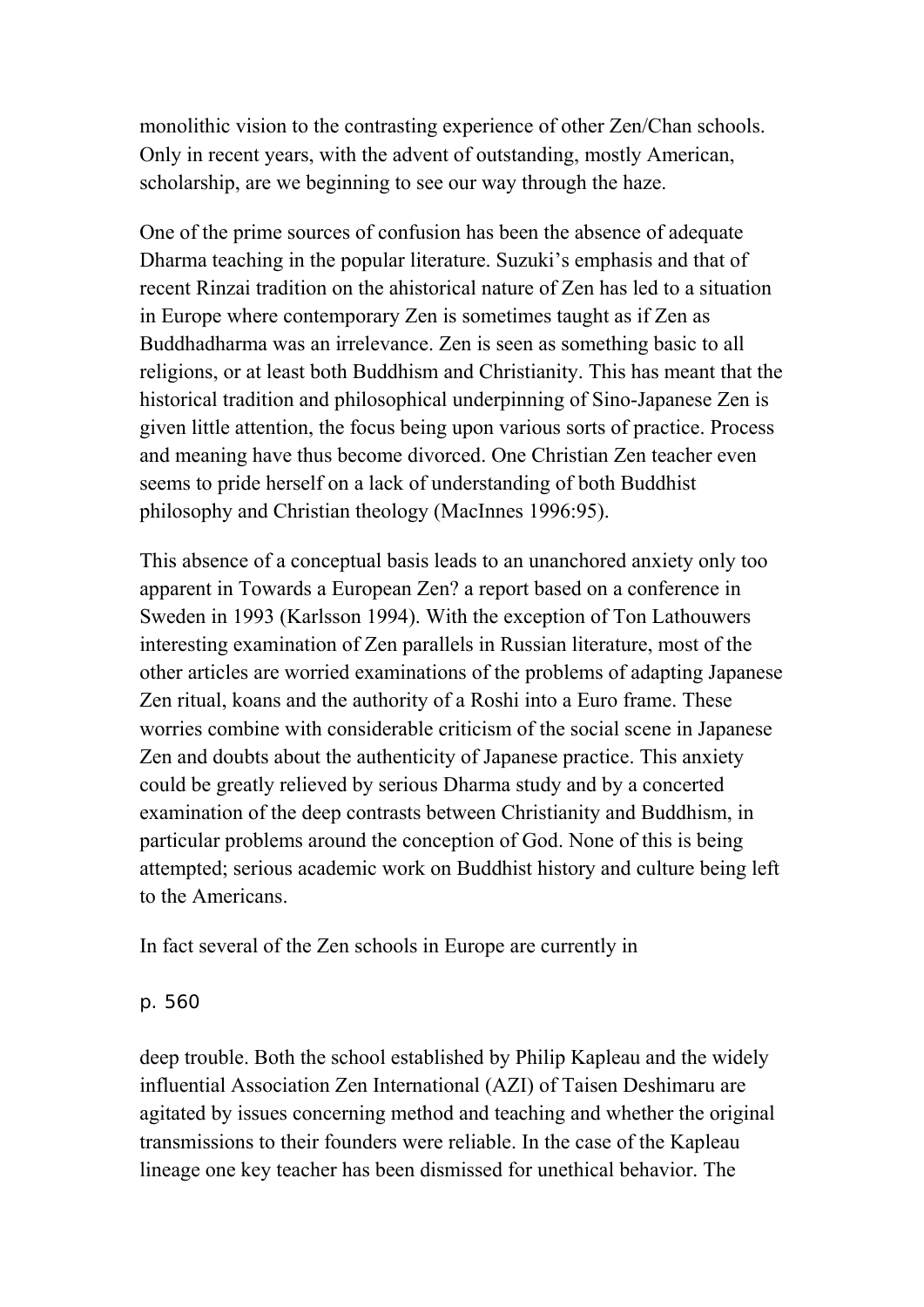monolithic vision to the contrasting experience of other Zen/Chan schools. Only in recent years, with the advent of outstanding, mostly American, scholarship, are we beginning to see our way through the haze.

One of the prime sources of confusion has been the absence of adequate Dharma teaching in the popular literature. Suzuki's emphasis and that of recent Rinzai tradition on the ahistorical nature of Zen has led to a situation in Europe where contemporary Zen is sometimes taught as if Zen as Buddhadharma was an irrelevance. Zen is seen as something basic to all religions, or at least both Buddhism and Christianity. This has meant that the historical tradition and philosophical underpinning of Sino-Japanese Zen is given little attention, the focus being upon various sorts of practice. Process and meaning have thus become divorced. One Christian Zen teacher even seems to pride herself on a lack of understanding of both Buddhist philosophy and Christian theology (MacInnes 1996:95).

This absence of a conceptual basis leads to an unanchored anxiety only too apparent in Towards a European Zen? a report based on a conference in Sweden in 1993 (Karlsson 1994). With the exception of Ton Lathouwers interesting examination of Zen parallels in Russian literature, most of the other articles are worried examinations of the problems of adapting Japanese Zen ritual, koans and the authority of a Roshi into a Euro frame. These worries combine with considerable criticism of the social scene in Japanese Zen and doubts about the authenticity of Japanese practice. This anxiety could be greatly relieved by serious Dharma study and by a concerted examination of the deep contrasts between Christianity and Buddhism, in particular problems around the conception of God. None of this is being attempted; serious academic work on Buddhist history and culture being left to the Americans.

In fact several of the Zen schools in Europe are currently in

### p. 560

deep trouble. Both the school established by Philip Kapleau and the widely influential Association Zen International (AZI) of Taisen Deshimaru are agitated by issues concerning method and teaching and whether the original transmissions to their founders were reliable. In the case of the Kapleau lineage one key teacher has been dismissed for unethical behavior. The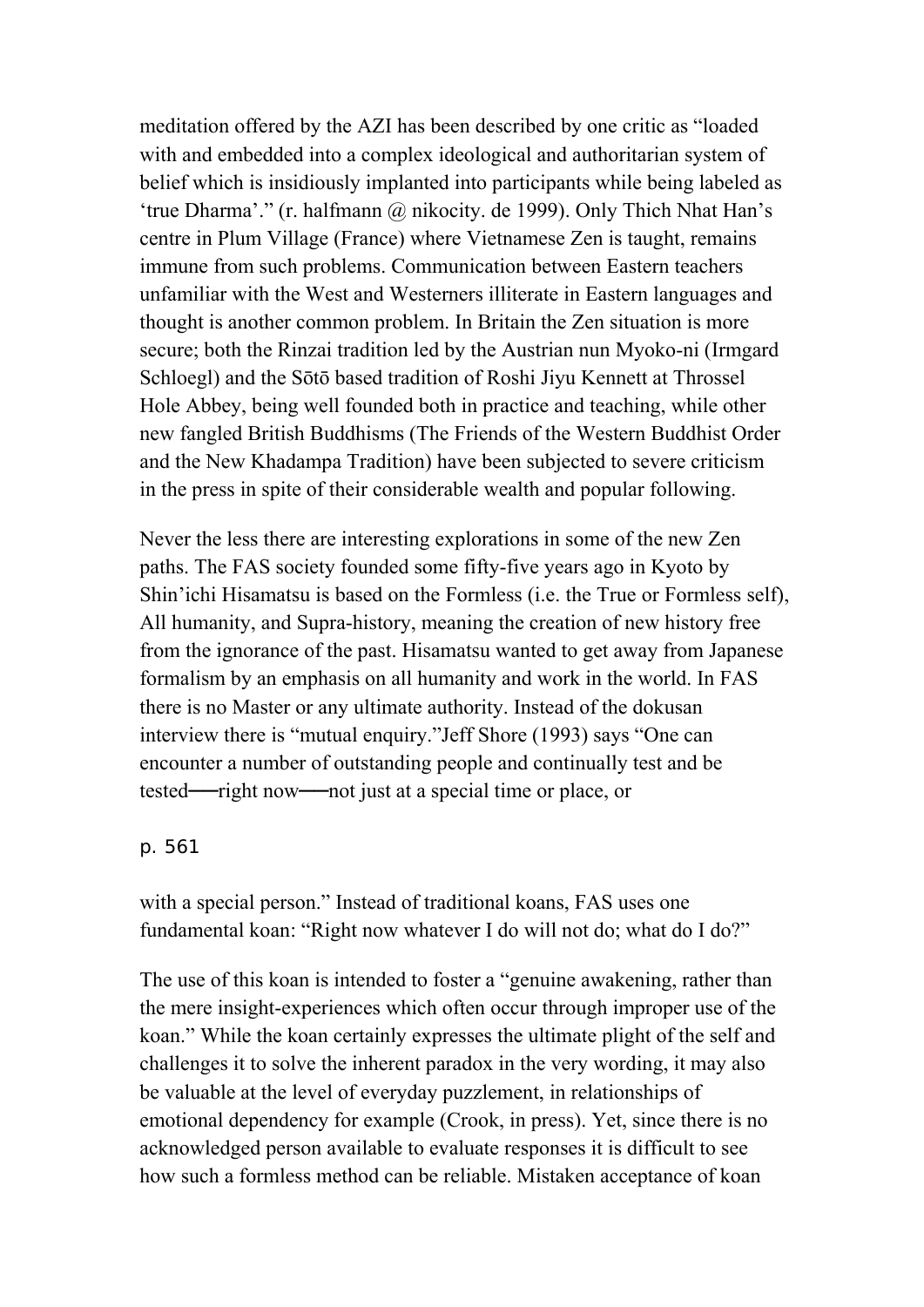meditation offered by the AZI has been described by one critic as "loaded with and embedded into a complex ideological and authoritarian system of belief which is insidiously implanted into participants while being labeled as 'true Dharma'." (r. halfmann @ nikocity. de 1999). Only Thich Nhat Han's centre in Plum Village (France) where Vietnamese Zen is taught, remains immune from such problems. Communication between Eastern teachers unfamiliar with the West and Westerners illiterate in Eastern languages and thought is another common problem. In Britain the Zen situation is more secure; both the Rinzai tradition led by the Austrian nun Myoko-ni (Irmgard Schloegl) and the Sōtō based tradition of Roshi Jiyu Kennett at Throssel Hole Abbey, being well founded both in practice and teaching, while other new fangled British Buddhisms (The Friends of the Western Buddhist Order and the New Khadampa Tradition) have been subjected to severe criticism in the press in spite of their considerable wealth and popular following.

Never the less there are interesting explorations in some of the new Zen paths. The FAS society founded some fifty-five years ago in Kyoto by Shin'ichi Hisamatsu is based on the Formless (i.e. the True or Formless self), All humanity, and Supra-history, meaning the creation of new history free from the ignorance of the past. Hisamatsu wanted to get away from Japanese formalism by an emphasis on all humanity and work in the world. In FAS there is no Master or any ultimate authority. Instead of the dokusan interview there is "mutual enquiry."Jeff Shore (1993) says "One can encounter a number of outstanding people and continually test and be tested──right now──not just at a special time or place, or

p. 561

with a special person." Instead of traditional koans, FAS uses one fundamental koan: "Right now whatever I do will not do; what do I do?"

The use of this koan is intended to foster a "genuine awakening, rather than the mere insight-experiences which often occur through improper use of the koan." While the koan certainly expresses the ultimate plight of the self and challenges it to solve the inherent paradox in the very wording, it may also be valuable at the level of everyday puzzlement, in relationships of emotional dependency for example (Crook, in press). Yet, since there is no acknowledged person available to evaluate responses it is difficult to see how such a formless method can be reliable. Mistaken acceptance of koan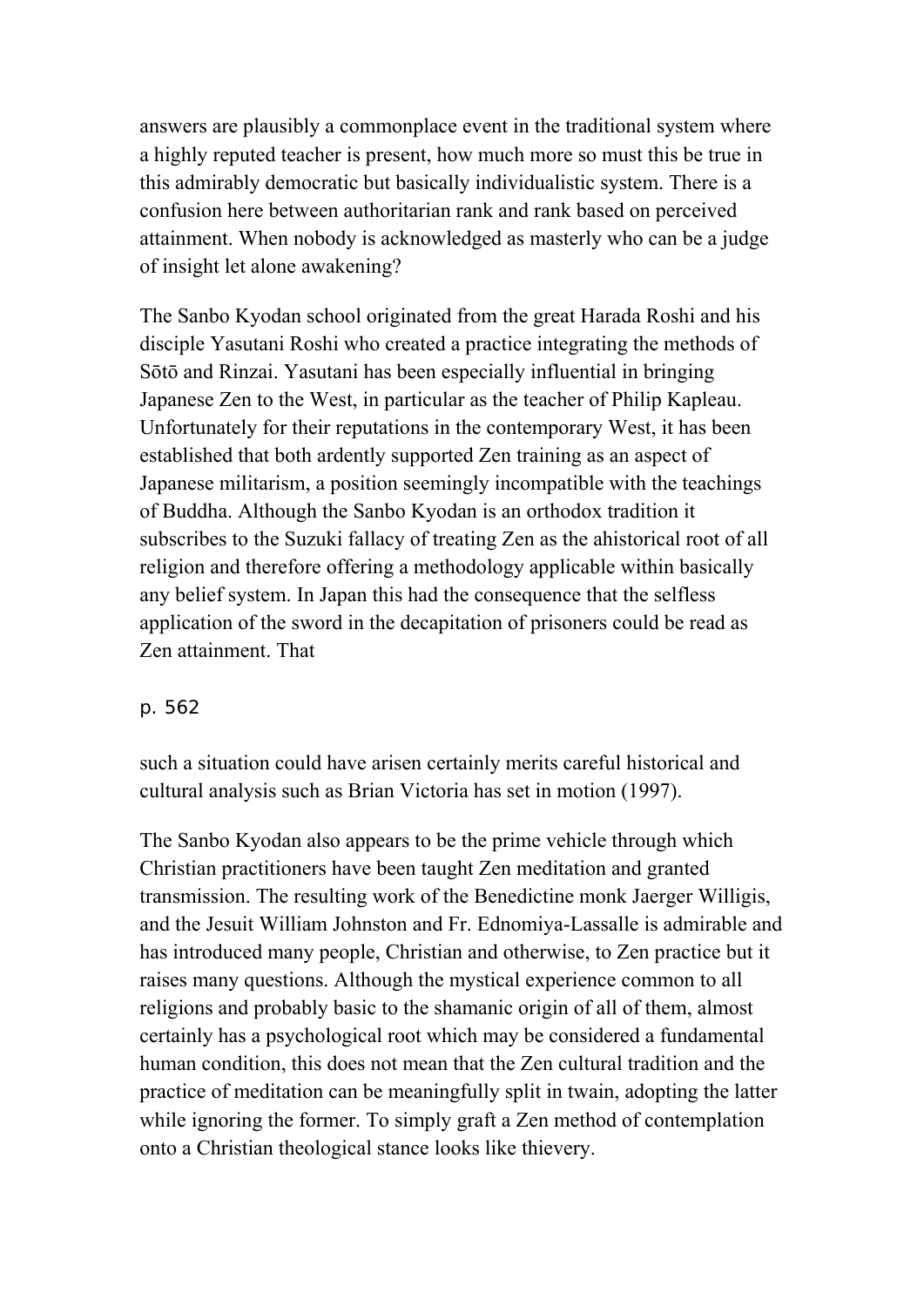answers are plausibly a commonplace event in the traditional system where a highly reputed teacher is present, how much more so must this be true in this admirably democratic but basically individualistic system. There is a confusion here between authoritarian rank and rank based on perceived attainment. When nobody is acknowledged as masterly who can be a judge of insight let alone awakening?

The Sanbo Kyodan school originated from the great Harada Roshi and his disciple Yasutani Roshi who created a practice integrating the methods of Sōtō and Rinzai. Yasutani has been especially influential in bringing Japanese Zen to the West, in particular as the teacher of Philip Kapleau. Unfortunately for their reputations in the contemporary West, it has been established that both ardently supported Zen training as an aspect of Japanese militarism, a position seemingly incompatible with the teachings of Buddha. Although the Sanbo Kyodan is an orthodox tradition it subscribes to the Suzuki fallacy of treating Zen as the ahistorical root of all religion and therefore offering a methodology applicable within basically any belief system. In Japan this had the consequence that the selfless application of the sword in the decapitation of prisoners could be read as Zen attainment. That

### p. 562

such a situation could have arisen certainly merits careful historical and cultural analysis such as Brian Victoria has set in motion (1997).

The Sanbo Kyodan also appears to be the prime vehicle through which Christian practitioners have been taught Zen meditation and granted transmission. The resulting work of the Benedictine monk Jaerger Willigis, and the Jesuit William Johnston and Fr. Ednomiya-Lassalle is admirable and has introduced many people, Christian and otherwise, to Zen practice but it raises many questions. Although the mystical experience common to all religions and probably basic to the shamanic origin of all of them, almost certainly has a psychological root which may be considered a fundamental human condition, this does not mean that the Zen cultural tradition and the practice of meditation can be meaningfully split in twain, adopting the latter while ignoring the former. To simply graft a Zen method of contemplation onto a Christian theological stance looks like thievery.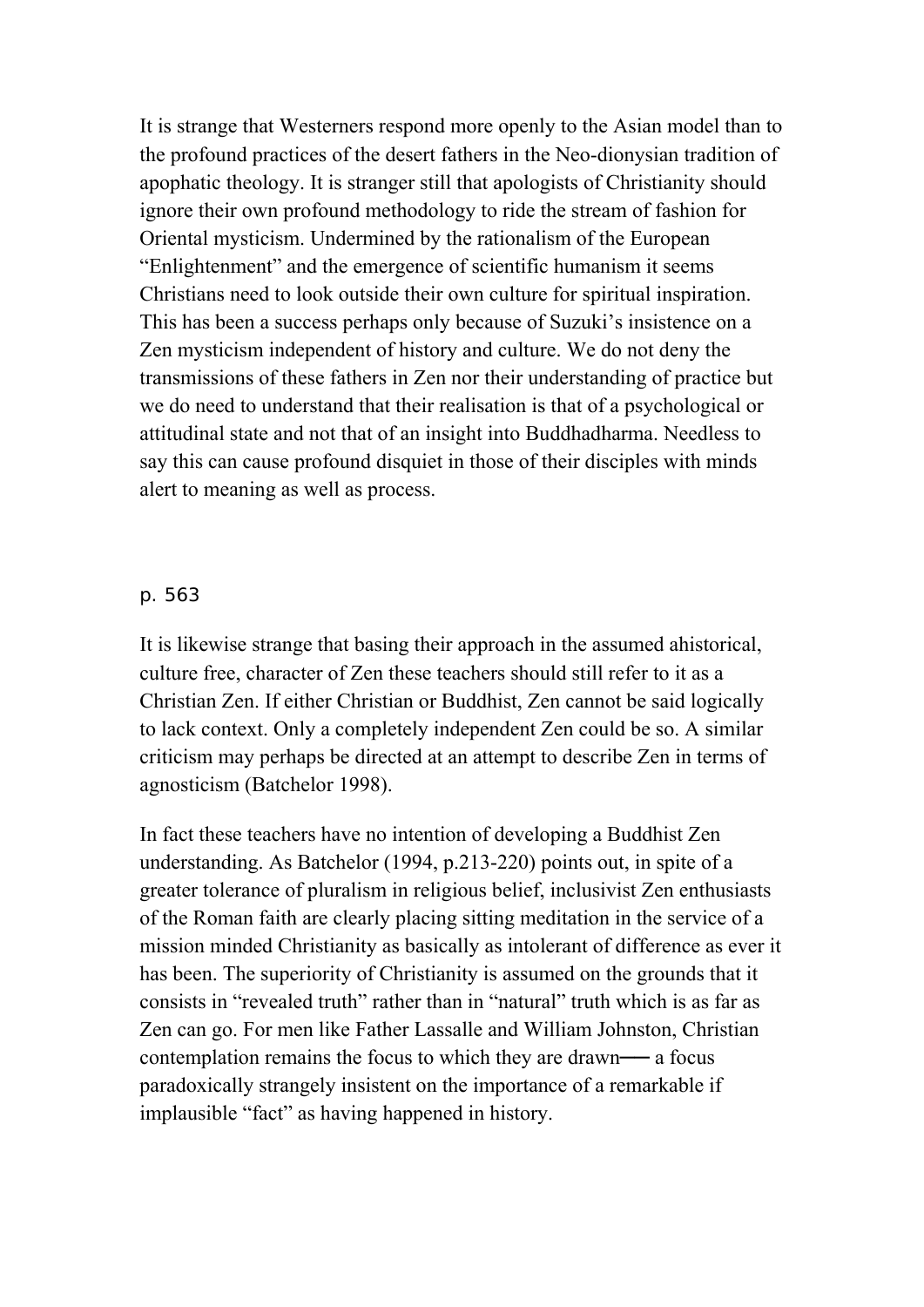It is strange that Westerners respond more openly to the Asian model than to the profound practices of the desert fathers in the Neo-dionysian tradition of apophatic theology. It is stranger still that apologists of Christianity should ignore their own profound methodology to ride the stream of fashion for Oriental mysticism. Undermined by the rationalism of the European "Enlightenment" and the emergence of scientific humanism it seems Christians need to look outside their own culture for spiritual inspiration. This has been a success perhaps only because of Suzuki's insistence on a Zen mysticism independent of history and culture. We do not deny the transmissions of these fathers in Zen nor their understanding of practice but we do need to understand that their realisation is that of a psychological or attitudinal state and not that of an insight into Buddhadharma. Needless to say this can cause profound disquiet in those of their disciples with minds alert to meaning as well as process.

#### p. 563

It is likewise strange that basing their approach in the assumed ahistorical, culture free, character of Zen these teachers should still refer to it as a Christian Zen. If either Christian or Buddhist, Zen cannot be said logically to lack context. Only a completely independent Zen could be so. A similar criticism may perhaps be directed at an attempt to describe Zen in terms of agnosticism (Batchelor 1998).

In fact these teachers have no intention of developing a Buddhist Zen understanding. As Batchelor (1994, p.213-220) points out, in spite of a greater tolerance of pluralism in religious belief, inclusivist Zen enthusiasts of the Roman faith are clearly placing sitting meditation in the service of a mission minded Christianity as basically as intolerant of difference as ever it has been. The superiority of Christianity is assumed on the grounds that it consists in "revealed truth" rather than in "natural" truth which is as far as Zen can go. For men like Father Lassalle and William Johnston, Christian contemplation remains the focus to which they are drawn— a focus paradoxically strangely insistent on the importance of a remarkable if implausible "fact" as having happened in history.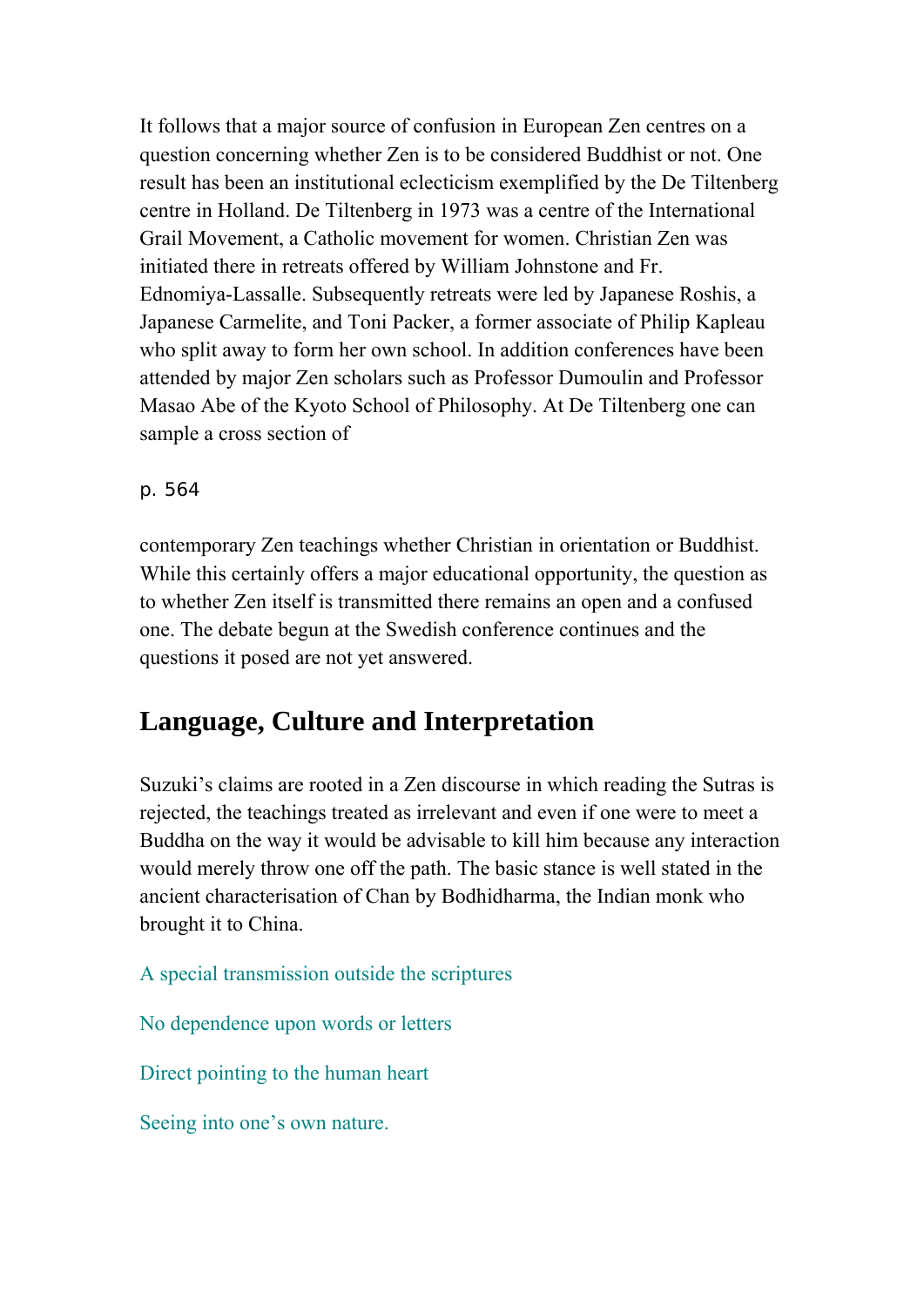It follows that a major source of confusion in European Zen centres on a question concerning whether Zen is to be considered Buddhist or not. One result has been an institutional eclecticism exemplified by the De Tiltenberg centre in Holland. De Tiltenberg in 1973 was a centre of the International Grail Movement, a Catholic movement for women. Christian Zen was initiated there in retreats offered by William Johnstone and Fr. Ednomiya-Lassalle. Subsequently retreats were led by Japanese Roshis, a Japanese Carmelite, and Toni Packer, a former associate of Philip Kapleau who split away to form her own school. In addition conferences have been attended by major Zen scholars such as Professor Dumoulin and Professor Masao Abe of the Kyoto School of Philosophy. At De Tiltenberg one can sample a cross section of

## p. 564

contemporary Zen teachings whether Christian in orientation or Buddhist. While this certainly offers a major educational opportunity, the question as to whether Zen itself is transmitted there remains an open and a confused one. The debate begun at the Swedish conference continues and the questions it posed are not yet answered.

## **Language, Culture and Interpretation**

Suzuki's claims are rooted in a Zen discourse in which reading the Sutras is rejected, the teachings treated as irrelevant and even if one were to meet a Buddha on the way it would be advisable to kill him because any interaction would merely throw one off the path. The basic stance is well stated in the ancient characterisation of Chan by Bodhidharma, the Indian monk who brought it to China.

A special transmission outside the scriptures

No dependence upon words or letters

Direct pointing to the human heart

Seeing into one's own nature.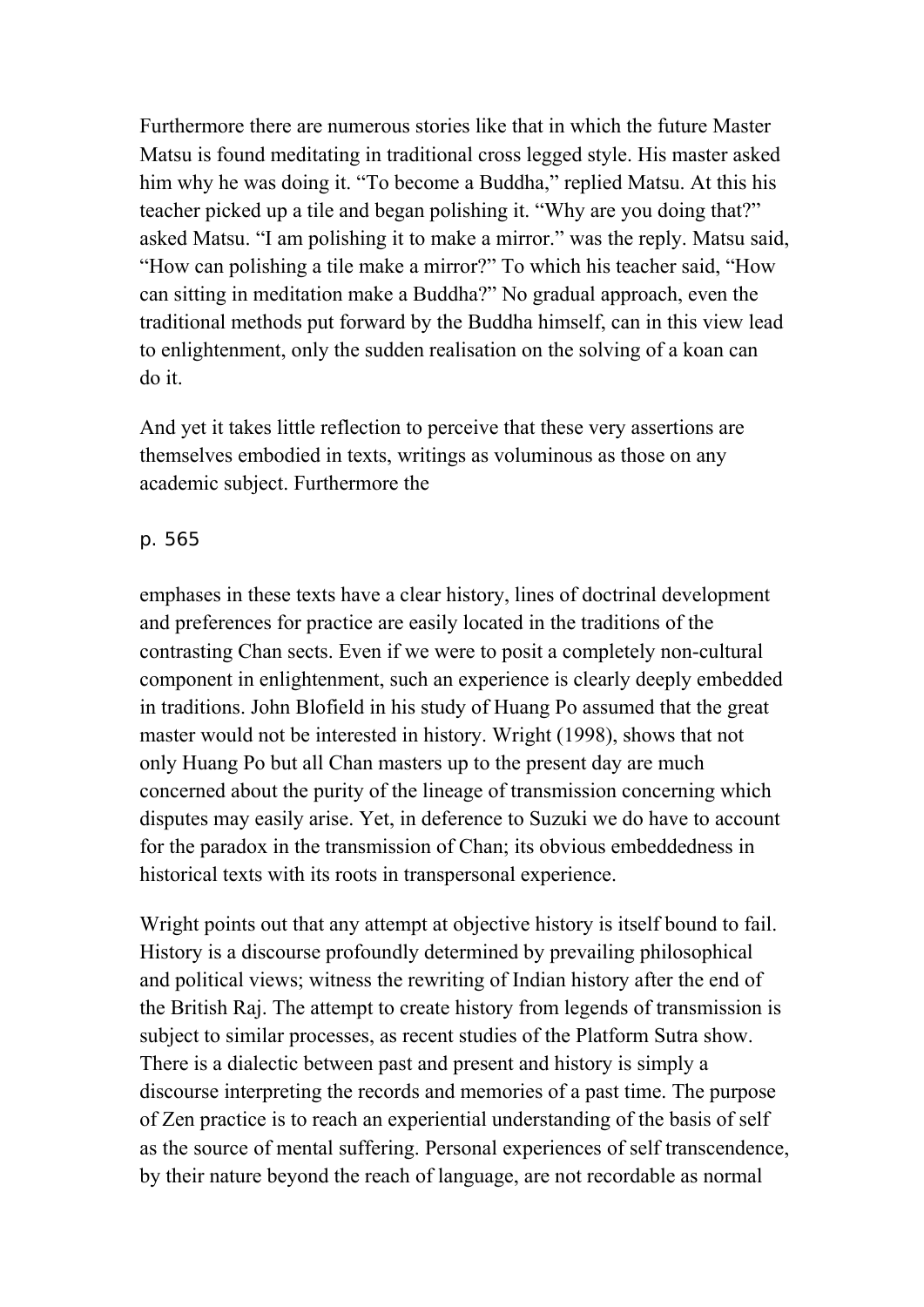Furthermore there are numerous stories like that in which the future Master Matsu is found meditating in traditional cross legged style. His master asked him why he was doing it. "To become a Buddha," replied Matsu. At this his teacher picked up a tile and began polishing it. "Why are you doing that?" asked Matsu. "I am polishing it to make a mirror." was the reply. Matsu said, "How can polishing a tile make a mirror?" To which his teacher said, "How can sitting in meditation make a Buddha?" No gradual approach, even the traditional methods put forward by the Buddha himself, can in this view lead to enlightenment, only the sudden realisation on the solving of a koan can do it.

And yet it takes little reflection to perceive that these very assertions are themselves embodied in texts, writings as voluminous as those on any academic subject. Furthermore the

## p. 565

emphases in these texts have a clear history, lines of doctrinal development and preferences for practice are easily located in the traditions of the contrasting Chan sects. Even if we were to posit a completely non-cultural component in enlightenment, such an experience is clearly deeply embedded in traditions. John Blofield in his study of Huang Po assumed that the great master would not be interested in history. Wright (1998), shows that not only Huang Po but all Chan masters up to the present day are much concerned about the purity of the lineage of transmission concerning which disputes may easily arise. Yet, in deference to Suzuki we do have to account for the paradox in the transmission of Chan; its obvious embeddedness in historical texts with its roots in transpersonal experience.

Wright points out that any attempt at objective history is itself bound to fail. History is a discourse profoundly determined by prevailing philosophical and political views; witness the rewriting of Indian history after the end of the British Raj. The attempt to create history from legends of transmission is subject to similar processes, as recent studies of the Platform Sutra show. There is a dialectic between past and present and history is simply a discourse interpreting the records and memories of a past time. The purpose of Zen practice is to reach an experiential understanding of the basis of self as the source of mental suffering. Personal experiences of self transcendence, by their nature beyond the reach of language, are not recordable as normal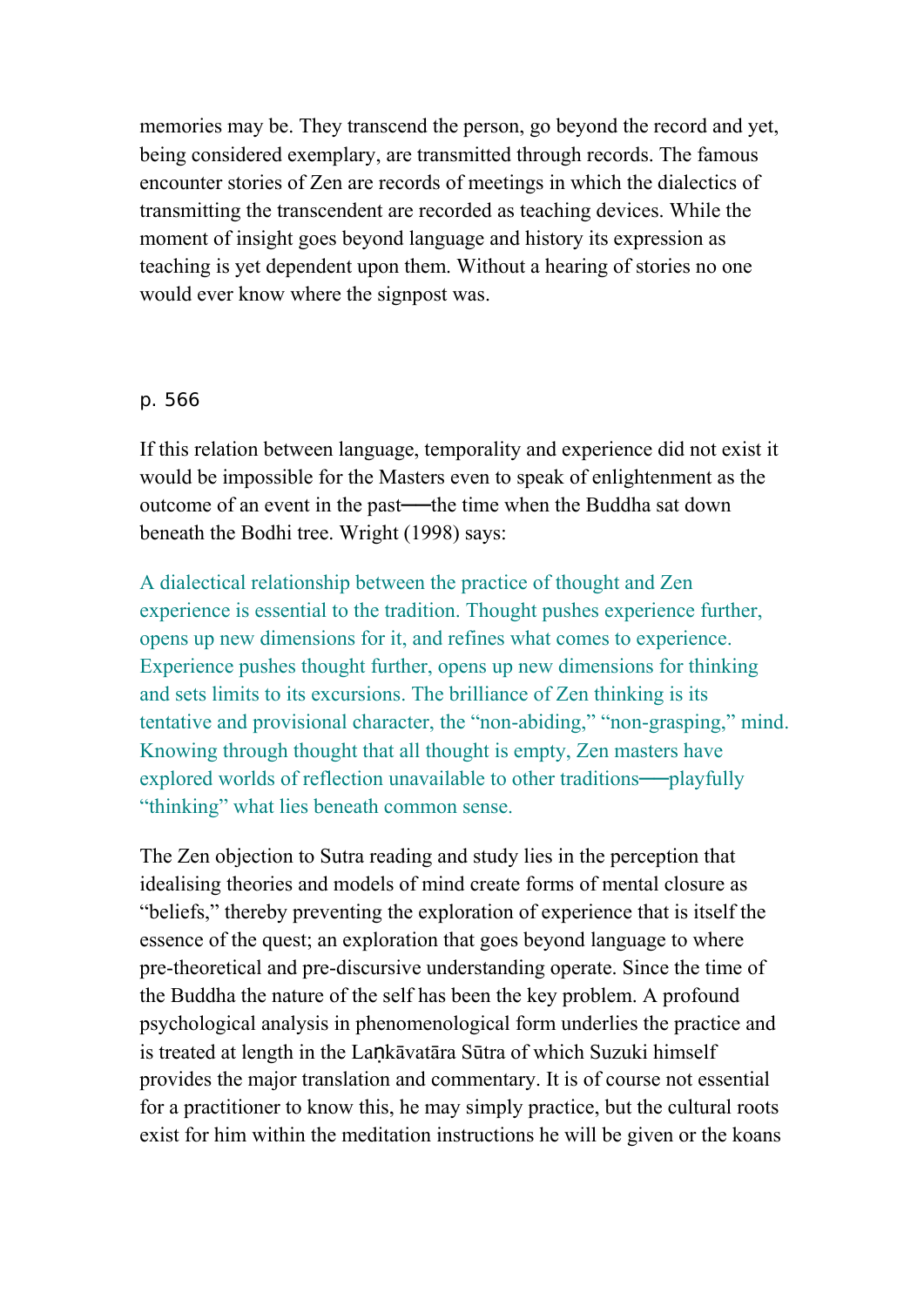memories may be. They transcend the person, go beyond the record and yet, being considered exemplary, are transmitted through records. The famous encounter stories of Zen are records of meetings in which the dialectics of transmitting the transcendent are recorded as teaching devices. While the moment of insight goes beyond language and history its expression as teaching is yet dependent upon them. Without a hearing of stories no one would ever know where the signpost was.

### p. 566

If this relation between language, temporality and experience did not exist it would be impossible for the Masters even to speak of enlightenment as the outcome of an event in the past—the time when the Buddha sat down beneath the Bodhi tree. Wright (1998) says:

A dialectical relationship between the practice of thought and Zen experience is essential to the tradition. Thought pushes experience further, opens up new dimensions for it, and refines what comes to experience. Experience pushes thought further, opens up new dimensions for thinking and sets limits to its excursions. The brilliance of Zen thinking is its tentative and provisional character, the "non-abiding," "non-grasping," mind. Knowing through thought that all thought is empty, Zen masters have explored worlds of reflection unavailable to other traditions—playfully "thinking" what lies beneath common sense.

The Zen objection to Sutra reading and study lies in the perception that idealising theories and models of mind create forms of mental closure as "beliefs," thereby preventing the exploration of experience that is itself the essence of the quest; an exploration that goes beyond language to where pre-theoretical and pre-discursive understanding operate. Since the time of the Buddha the nature of the self has been the key problem. A profound psychological analysis in phenomenological form underlies the practice and is treated at length in the Lankāvatāra Sūtra of which Suzuki himself provides the major translation and commentary. It is of course not essential for a practitioner to know this, he may simply practice, but the cultural roots exist for him within the meditation instructions he will be given or the koans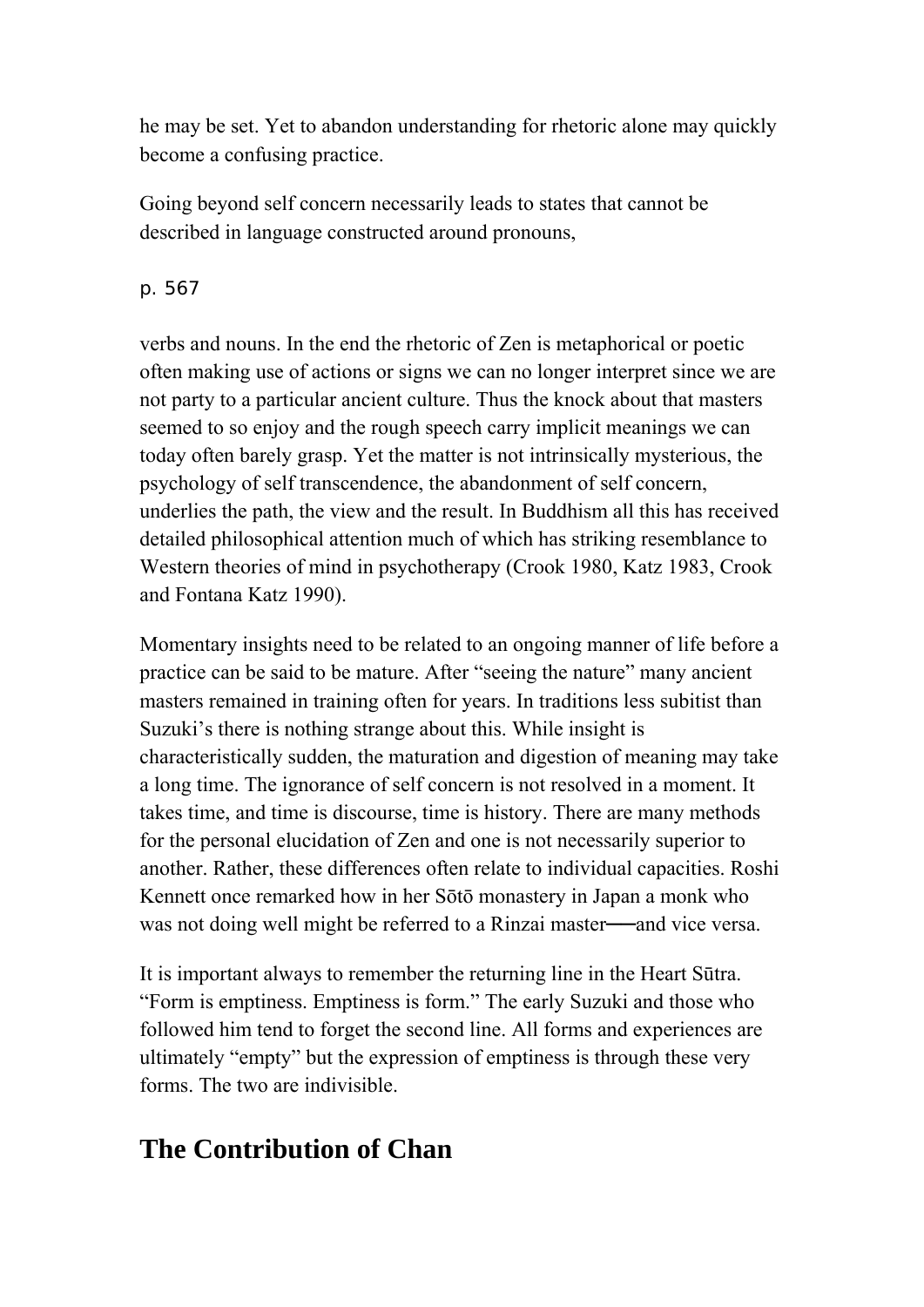he may be set. Yet to abandon understanding for rhetoric alone may quickly become a confusing practice.

Going beyond self concern necessarily leads to states that cannot be described in language constructed around pronouns,

## p. 567

verbs and nouns. In the end the rhetoric of Zen is metaphorical or poetic often making use of actions or signs we can no longer interpret since we are not party to a particular ancient culture. Thus the knock about that masters seemed to so enjoy and the rough speech carry implicit meanings we can today often barely grasp. Yet the matter is not intrinsically mysterious, the psychology of self transcendence, the abandonment of self concern, underlies the path, the view and the result. In Buddhism all this has received detailed philosophical attention much of which has striking resemblance to Western theories of mind in psychotherapy (Crook 1980, Katz 1983, Crook and Fontana Katz 1990).

Momentary insights need to be related to an ongoing manner of life before a practice can be said to be mature. After "seeing the nature" many ancient masters remained in training often for years. In traditions less subitist than Suzuki's there is nothing strange about this. While insight is characteristically sudden, the maturation and digestion of meaning may take a long time. The ignorance of self concern is not resolved in a moment. It takes time, and time is discourse, time is history. There are many methods for the personal elucidation of Zen and one is not necessarily superior to another. Rather, these differences often relate to individual capacities. Roshi Kennett once remarked how in her Sōtō monastery in Japan a monk who was not doing well might be referred to a Rinzai master—and vice versa.

It is important always to remember the returning line in the Heart Sūtra. "Form is emptiness. Emptiness is form." The early Suzuki and those who followed him tend to forget the second line. All forms and experiences are ultimately "empty" but the expression of emptiness is through these very forms. The two are indivisible.

## **The Contribution of Chan**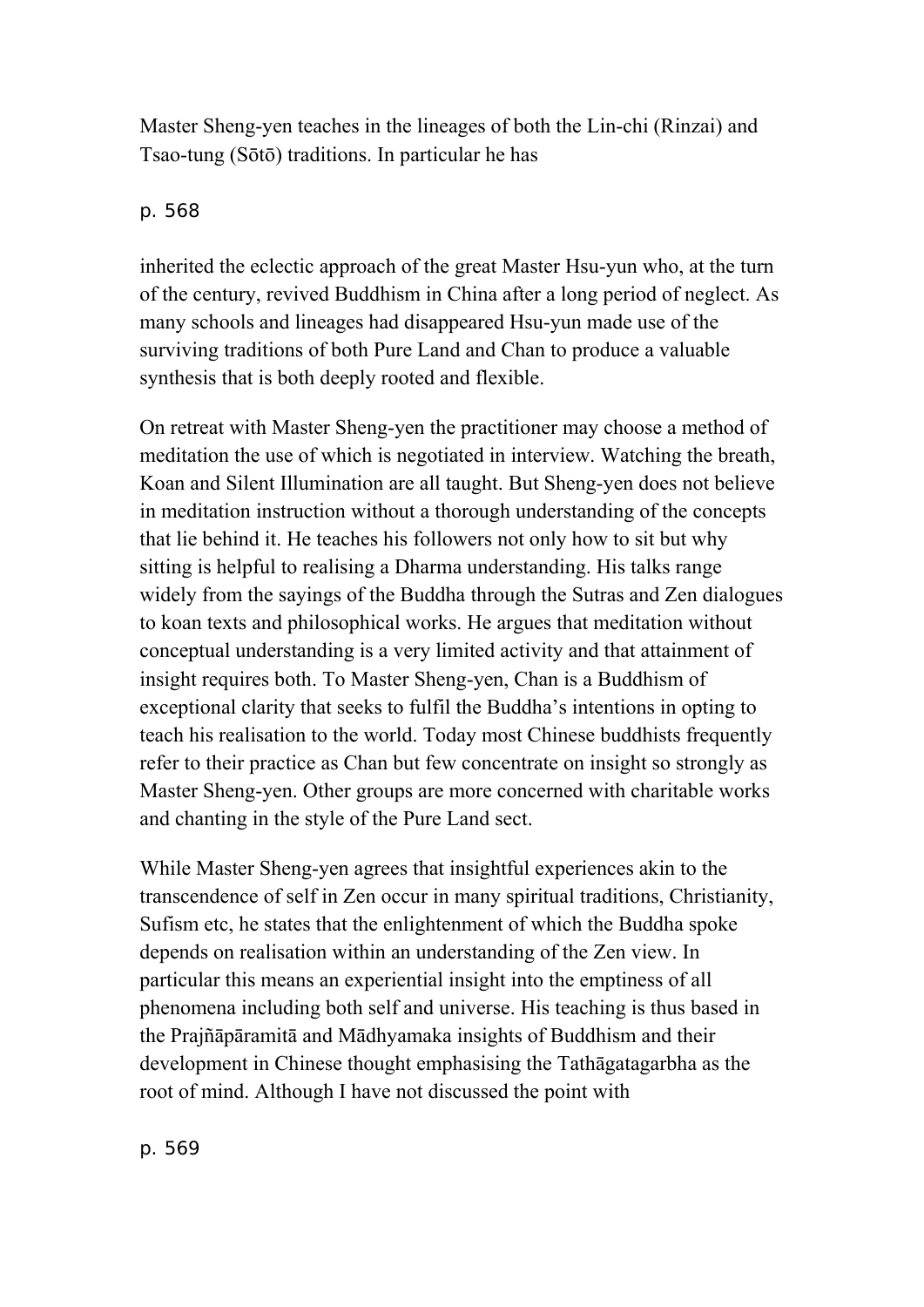Master Sheng-yen teaches in the lineages of both the Lin-chi (Rinzai) and Tsao-tung (Sōtō) traditions. In particular he has

## p. 568

inherited the eclectic approach of the great Master Hsu-yun who, at the turn of the century, revived Buddhism in China after a long period of neglect. As many schools and lineages had disappeared Hsu-yun made use of the surviving traditions of both Pure Land and Chan to produce a valuable synthesis that is both deeply rooted and flexible.

On retreat with Master Sheng-yen the practitioner may choose a method of meditation the use of which is negotiated in interview. Watching the breath, Koan and Silent Illumination are all taught. But Sheng-yen does not believe in meditation instruction without a thorough understanding of the concepts that lie behind it. He teaches his followers not only how to sit but why sitting is helpful to realising a Dharma understanding. His talks range widely from the sayings of the Buddha through the Sutras and Zen dialogues to koan texts and philosophical works. He argues that meditation without conceptual understanding is a very limited activity and that attainment of insight requires both. To Master Sheng-yen, Chan is a Buddhism of exceptional clarity that seeks to fulfil the Buddha's intentions in opting to teach his realisation to the world. Today most Chinese buddhists frequently refer to their practice as Chan but few concentrate on insight so strongly as Master Sheng-yen. Other groups are more concerned with charitable works and chanting in the style of the Pure Land sect.

While Master Sheng-yen agrees that insightful experiences akin to the transcendence of self in Zen occur in many spiritual traditions, Christianity, Sufism etc, he states that the enlightenment of which the Buddha spoke depends on realisation within an understanding of the Zen view. In particular this means an experiential insight into the emptiness of all phenomena including both self and universe. His teaching is thus based in the Prajñāpāramitā and Mādhyamaka insights of Buddhism and their development in Chinese thought emphasising the Tathāgatagarbha as the root of mind. Although I have not discussed the point with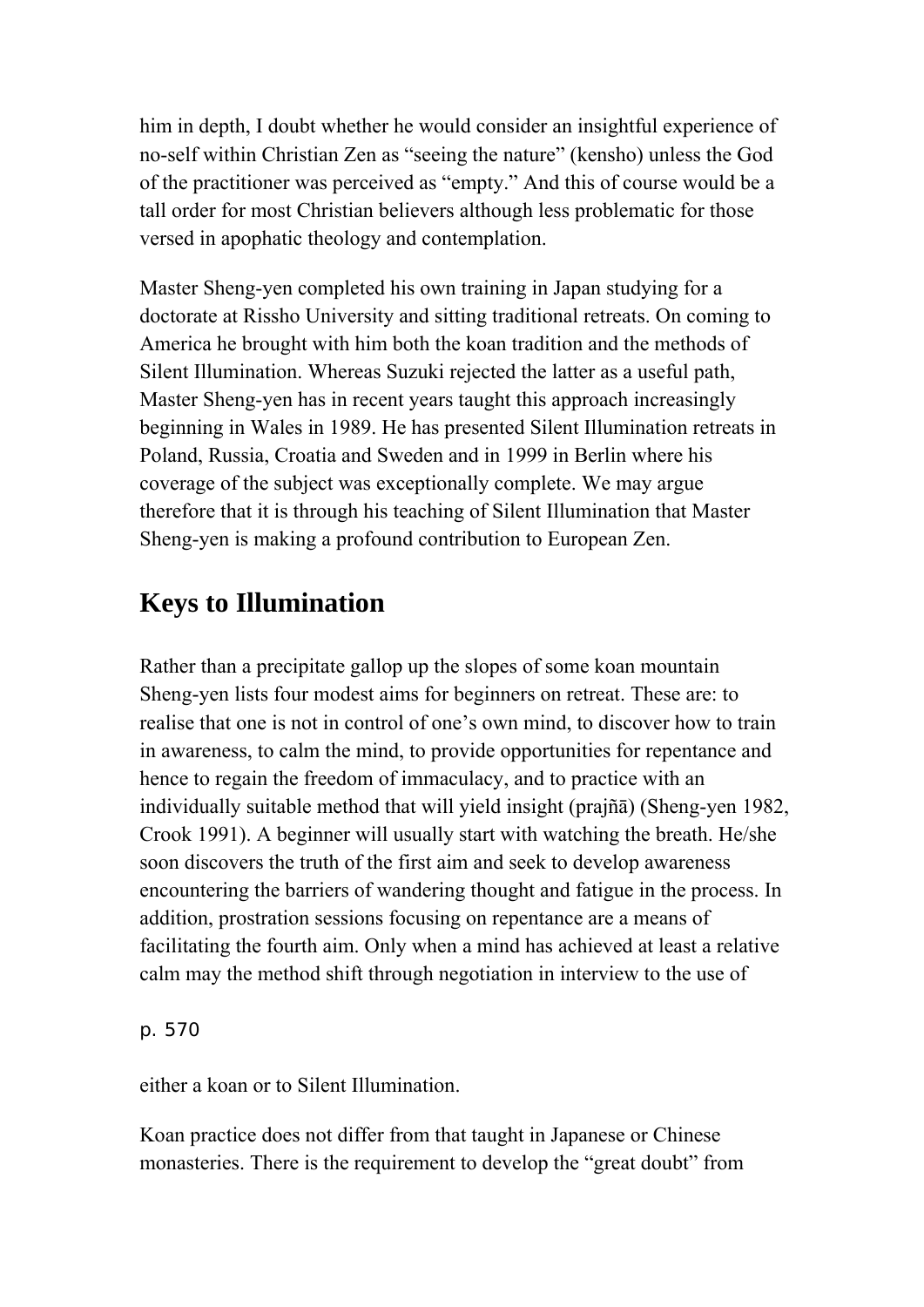him in depth, I doubt whether he would consider an insightful experience of no-self within Christian Zen as "seeing the nature" (kensho) unless the God of the practitioner was perceived as "empty." And this of course would be a tall order for most Christian believers although less problematic for those versed in apophatic theology and contemplation.

Master Sheng-yen completed his own training in Japan studying for a doctorate at Rissho University and sitting traditional retreats. On coming to America he brought with him both the koan tradition and the methods of Silent Illumination. Whereas Suzuki rejected the latter as a useful path, Master Sheng-yen has in recent years taught this approach increasingly beginning in Wales in 1989. He has presented Silent Illumination retreats in Poland, Russia, Croatia and Sweden and in 1999 in Berlin where his coverage of the subject was exceptionally complete. We may argue therefore that it is through his teaching of Silent Illumination that Master Sheng-yen is making a profound contribution to European Zen.

## **Keys to Illumination**

Rather than a precipitate gallop up the slopes of some koan mountain Sheng-yen lists four modest aims for beginners on retreat. These are: to realise that one is not in control of one's own mind, to discover how to train in awareness, to calm the mind, to provide opportunities for repentance and hence to regain the freedom of immaculacy, and to practice with an individually suitable method that will yield insight (prajñā) (Sheng-yen 1982, Crook 1991). A beginner will usually start with watching the breath. He/she soon discovers the truth of the first aim and seek to develop awareness encountering the barriers of wandering thought and fatigue in the process. In addition, prostration sessions focusing on repentance are a means of facilitating the fourth aim. Only when a mind has achieved at least a relative calm may the method shift through negotiation in interview to the use of

p. 570

either a koan or to Silent Illumination.

Koan practice does not differ from that taught in Japanese or Chinese monasteries. There is the requirement to develop the "great doubt" from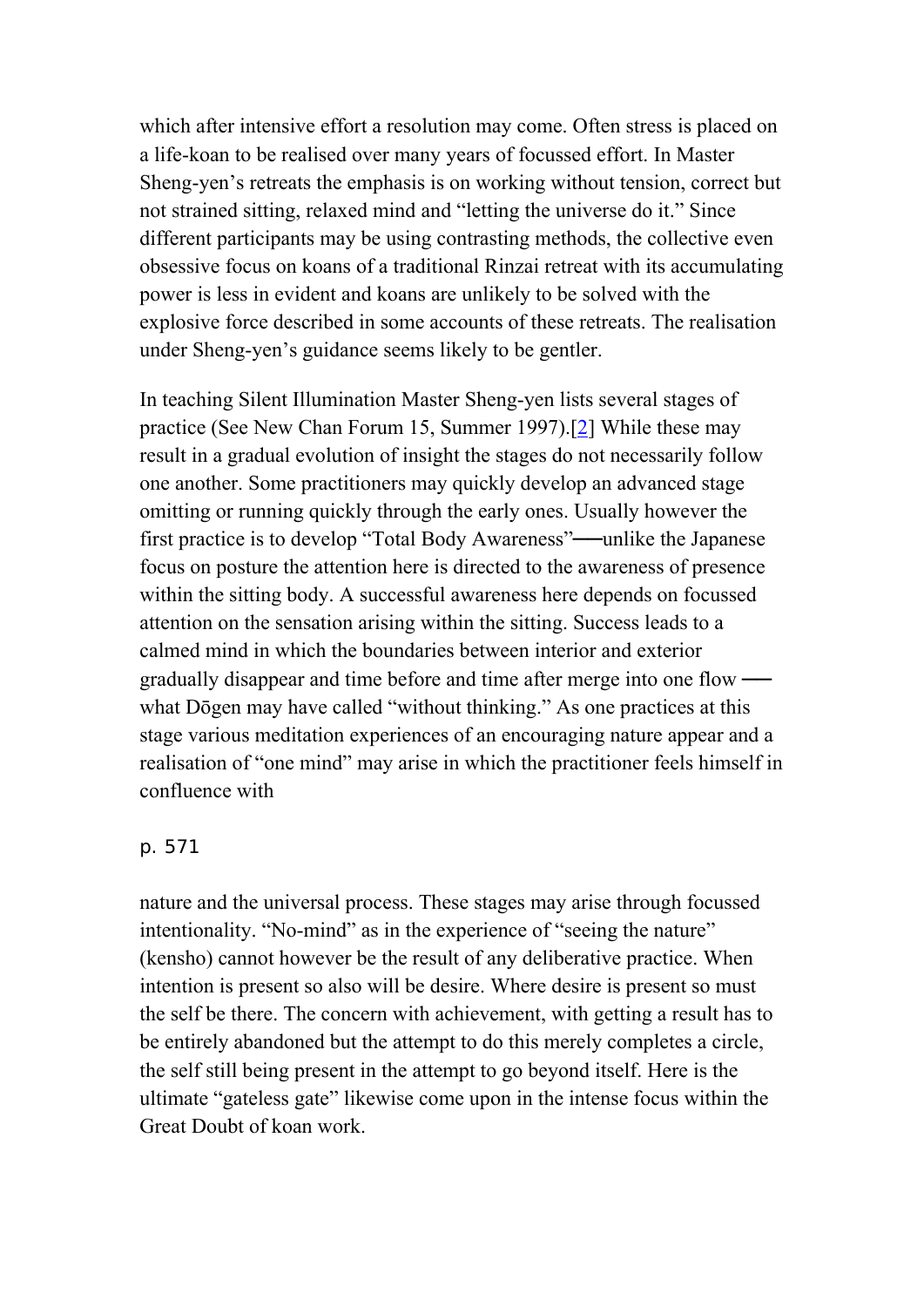which after intensive effort a resolution may come. Often stress is placed on a life-koan to be realised over many years of focussed effort. In Master Sheng-yen's retreats the emphasis is on working without tension, correct but not strained sitting, relaxed mind and "letting the universe do it." Since different participants may be using contrasting methods, the collective even obsessive focus on koans of a traditional Rinzai retreat with its accumulating power is less in evident and koans are unlikely to be solved with the explosive force described in some accounts of these retreats. The realisation under Sheng-yen's guidance seems likely to be gentler.

In teaching Silent Illumination Master Sheng-yen lists several stages of practice (See New Chan Forum 15, Summer 1997).[\[2](http://www.chibs.edu.tw/ch_html/chbj/13/chbj1345.htm#nf2)] While these may result in a gradual evolution of insight the stages do not necessarily follow one another. Some practitioners may quickly develop an advanced stage omitting or running quickly through the early ones. Usually however the first practice is to develop "Total Body Awareness"—unlike the Japanese focus on posture the attention here is directed to the awareness of presence within the sitting body. A successful awareness here depends on focussed attention on the sensation arising within the sitting. Success leads to a calmed mind in which the boundaries between interior and exterior gradually disappear and time before and time after merge into one flow ── what Dōgen may have called "without thinking." As one practices at this stage various meditation experiences of an encouraging nature appear and a realisation of "one mind" may arise in which the practitioner feels himself in confluence with

### p. 571

nature and the universal process. These stages may arise through focussed intentionality. "No-mind" as in the experience of "seeing the nature" (kensho) cannot however be the result of any deliberative practice. When intention is present so also will be desire. Where desire is present so must the self be there. The concern with achievement, with getting a result has to be entirely abandoned but the attempt to do this merely completes a circle, the self still being present in the attempt to go beyond itself. Here is the ultimate "gateless gate" likewise come upon in the intense focus within the Great Doubt of koan work.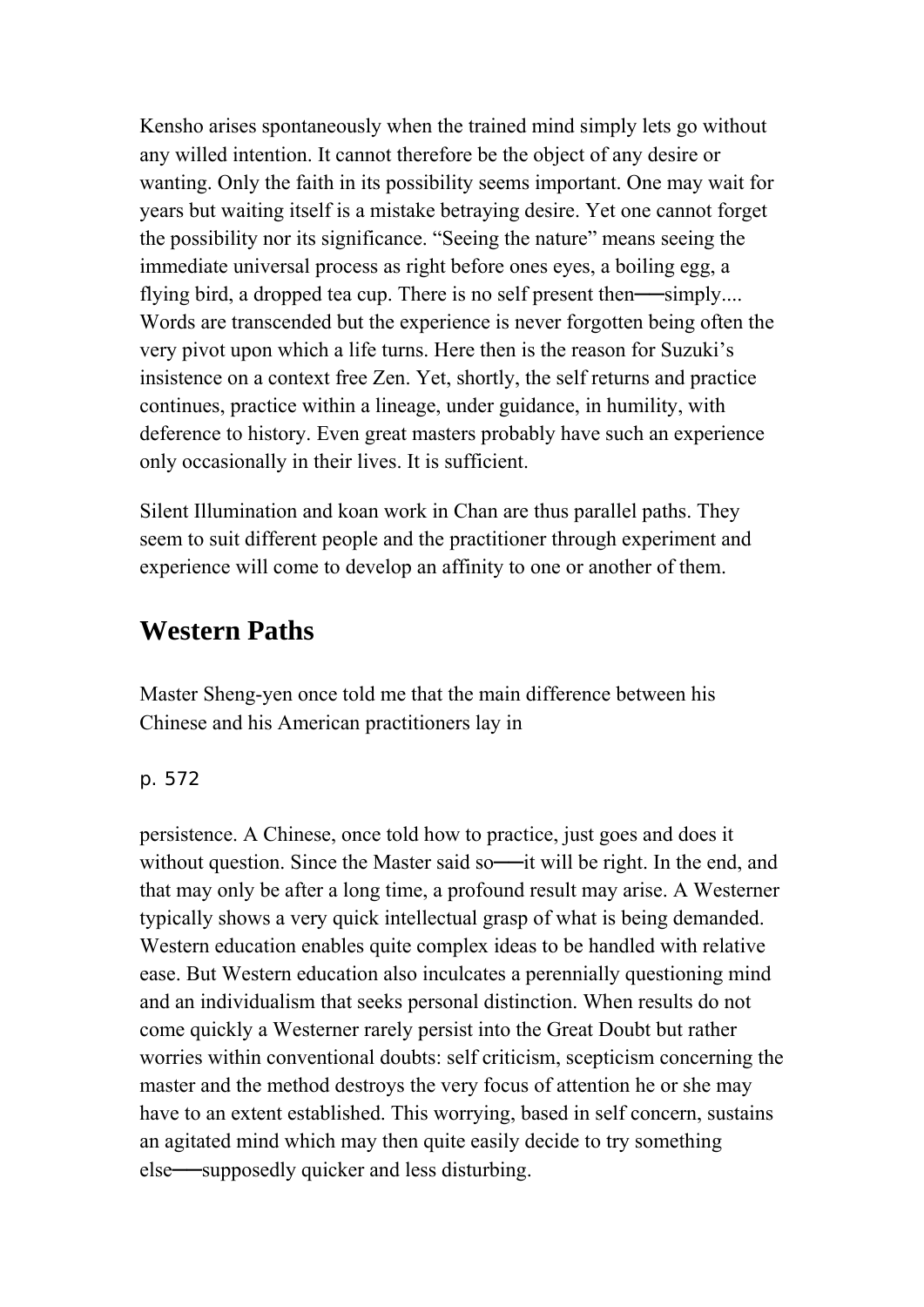Kensho arises spontaneously when the trained mind simply lets go without any willed intention. It cannot therefore be the object of any desire or wanting. Only the faith in its possibility seems important. One may wait for years but waiting itself is a mistake betraying desire. Yet one cannot forget the possibility nor its significance. "Seeing the nature" means seeing the immediate universal process as right before ones eyes, a boiling egg, a flying bird, a dropped tea cup. There is no self present then—simply.... Words are transcended but the experience is never forgotten being often the very pivot upon which a life turns. Here then is the reason for Suzuki's insistence on a context free Zen. Yet, shortly, the self returns and practice continues, practice within a lineage, under guidance, in humility, with deference to history. Even great masters probably have such an experience only occasionally in their lives. It is sufficient.

Silent Illumination and koan work in Chan are thus parallel paths. They seem to suit different people and the practitioner through experiment and experience will come to develop an affinity to one or another of them.

## **Western Paths**

Master Sheng-yen once told me that the main difference between his Chinese and his American practitioners lay in

p. 572

persistence. A Chinese, once told how to practice, just goes and does it without question. Since the Master said so---- it will be right. In the end, and that may only be after a long time, a profound result may arise. A Westerner typically shows a very quick intellectual grasp of what is being demanded. Western education enables quite complex ideas to be handled with relative ease. But Western education also inculcates a perennially questioning mind and an individualism that seeks personal distinction. When results do not come quickly a Westerner rarely persist into the Great Doubt but rather worries within conventional doubts: self criticism, scepticism concerning the master and the method destroys the very focus of attention he or she may have to an extent established. This worrying, based in self concern, sustains an agitated mind which may then quite easily decide to try something else—supposedly quicker and less disturbing.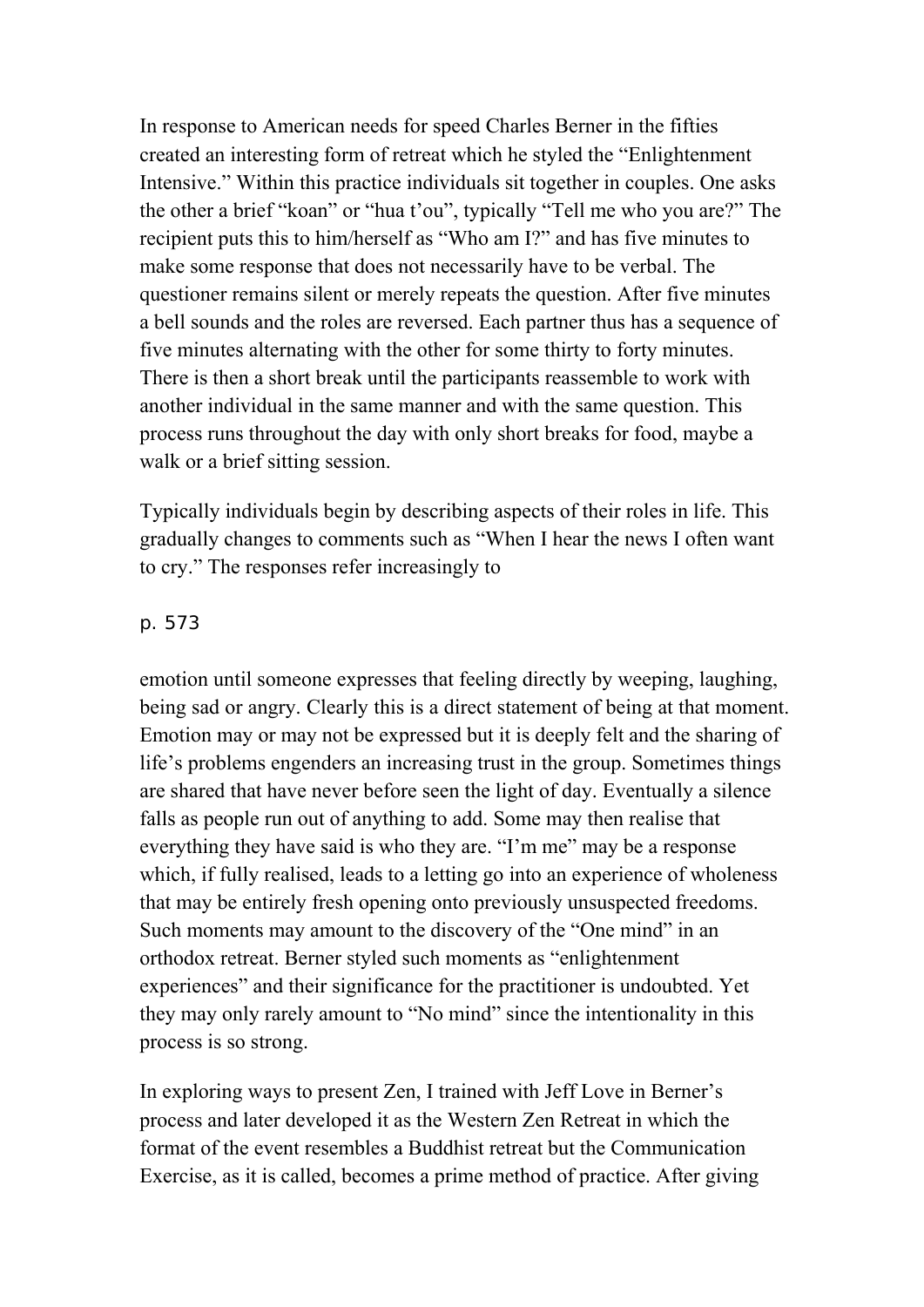In response to American needs for speed Charles Berner in the fifties created an interesting form of retreat which he styled the "Enlightenment Intensive." Within this practice individuals sit together in couples. One asks the other a brief "koan" or "hua t'ou", typically "Tell me who you are?" The recipient puts this to him/herself as "Who am I?" and has five minutes to make some response that does not necessarily have to be verbal. The questioner remains silent or merely repeats the question. After five minutes a bell sounds and the roles are reversed. Each partner thus has a sequence of five minutes alternating with the other for some thirty to forty minutes. There is then a short break until the participants reassemble to work with another individual in the same manner and with the same question. This process runs throughout the day with only short breaks for food, maybe a walk or a brief sitting session.

Typically individuals begin by describing aspects of their roles in life. This gradually changes to comments such as "When I hear the news I often want to cry." The responses refer increasingly to

#### p. 573

emotion until someone expresses that feeling directly by weeping, laughing, being sad or angry. Clearly this is a direct statement of being at that moment. Emotion may or may not be expressed but it is deeply felt and the sharing of life's problems engenders an increasing trust in the group. Sometimes things are shared that have never before seen the light of day. Eventually a silence falls as people run out of anything to add. Some may then realise that everything they have said is who they are. "I'm me" may be a response which, if fully realised, leads to a letting go into an experience of wholeness that may be entirely fresh opening onto previously unsuspected freedoms. Such moments may amount to the discovery of the "One mind" in an orthodox retreat. Berner styled such moments as "enlightenment experiences" and their significance for the practitioner is undoubted. Yet they may only rarely amount to "No mind" since the intentionality in this process is so strong.

In exploring ways to present Zen, I trained with Jeff Love in Berner's process and later developed it as the Western Zen Retreat in which the format of the event resembles a Buddhist retreat but the Communication Exercise, as it is called, becomes a prime method of practice. After giving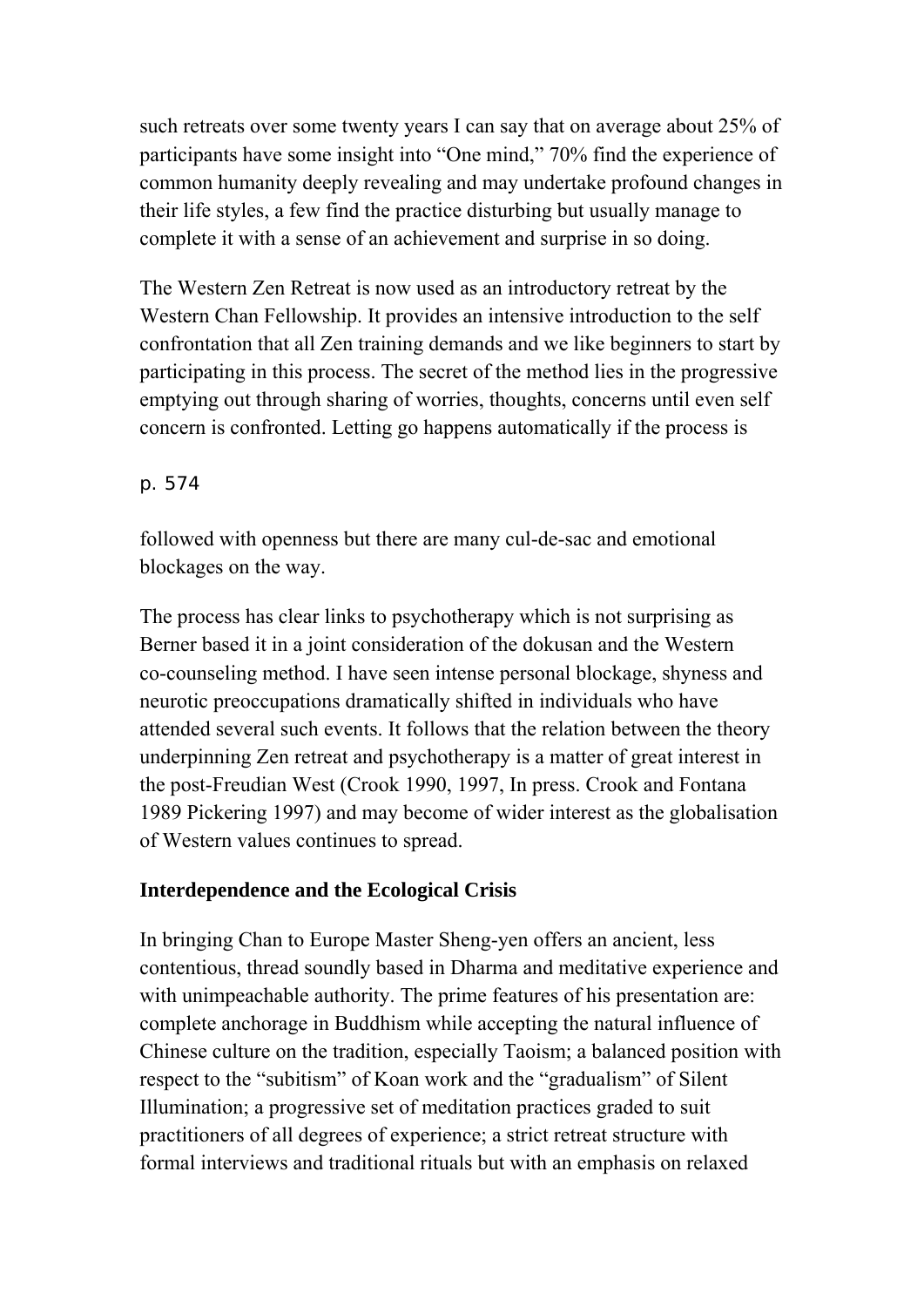such retreats over some twenty years I can say that on average about 25% of participants have some insight into "One mind," 70% find the experience of common humanity deeply revealing and may undertake profound changes in their life styles, a few find the practice disturbing but usually manage to complete it with a sense of an achievement and surprise in so doing.

The Western Zen Retreat is now used as an introductory retreat by the Western Chan Fellowship. It provides an intensive introduction to the self confrontation that all Zen training demands and we like beginners to start by participating in this process. The secret of the method lies in the progressive emptying out through sharing of worries, thoughts, concerns until even self concern is confronted. Letting go happens automatically if the process is

## p. 574

followed with openness but there are many cul-de-sac and emotional blockages on the way.

The process has clear links to psychotherapy which is not surprising as Berner based it in a joint consideration of the dokusan and the Western co-counseling method. I have seen intense personal blockage, shyness and neurotic preoccupations dramatically shifted in individuals who have attended several such events. It follows that the relation between the theory underpinning Zen retreat and psychotherapy is a matter of great interest in the post-Freudian West (Crook 1990, 1997, In press. Crook and Fontana 1989 Pickering 1997) and may become of wider interest as the globalisation of Western values continues to spread.

## **Interdependence and the Ecological Crisis**

In bringing Chan to Europe Master Sheng-yen offers an ancient, less contentious, thread soundly based in Dharma and meditative experience and with unimpeachable authority. The prime features of his presentation are: complete anchorage in Buddhism while accepting the natural influence of Chinese culture on the tradition, especially Taoism; a balanced position with respect to the "subitism" of Koan work and the "gradualism" of Silent Illumination; a progressive set of meditation practices graded to suit practitioners of all degrees of experience; a strict retreat structure with formal interviews and traditional rituals but with an emphasis on relaxed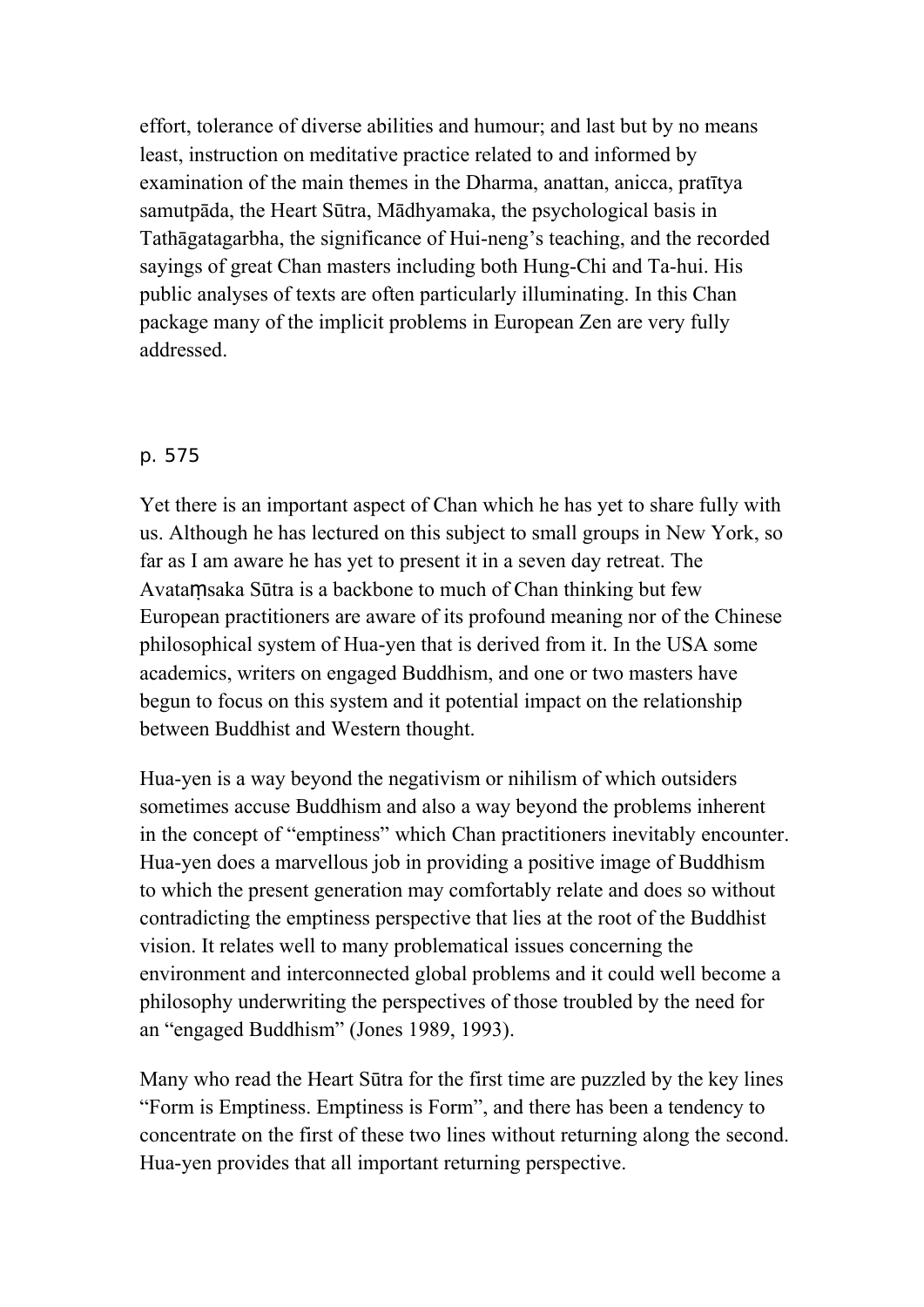effort, tolerance of diverse abilities and humour; and last but by no means least, instruction on meditative practice related to and informed by examination of the main themes in the Dharma, anattan, anicca, pratītya samutpāda, the Heart Sūtra, Mādhyamaka, the psychological basis in Tathāgatagarbha, the significance of Hui-neng's teaching, and the recorded sayings of great Chan masters including both Hung-Chi and Ta-hui. His public analyses of texts are often particularly illuminating. In this Chan package many of the implicit problems in European Zen are very fully addressed.

## p. 575

Yet there is an important aspect of Chan which he has yet to share fully with us. Although he has lectured on this subject to small groups in New York, so far as I am aware he has yet to present it in a seven day retreat. The Avataṃsaka Sūtra is a backbone to much of Chan thinking but few European practitioners are aware of its profound meaning nor of the Chinese philosophical system of Hua-yen that is derived from it. In the USA some academics, writers on engaged Buddhism, and one or two masters have begun to focus on this system and it potential impact on the relationship between Buddhist and Western thought.

Hua-yen is a way beyond the negativism or nihilism of which outsiders sometimes accuse Buddhism and also a way beyond the problems inherent in the concept of "emptiness" which Chan practitioners inevitably encounter. Hua-yen does a marvellous job in providing a positive image of Buddhism to which the present generation may comfortably relate and does so without contradicting the emptiness perspective that lies at the root of the Buddhist vision. It relates well to many problematical issues concerning the environment and interconnected global problems and it could well become a philosophy underwriting the perspectives of those troubled by the need for an "engaged Buddhism" (Jones 1989, 1993).

Many who read the Heart Sūtra for the first time are puzzled by the key lines "Form is Emptiness. Emptiness is Form", and there has been a tendency to concentrate on the first of these two lines without returning along the second. Hua-yen provides that all important returning perspective.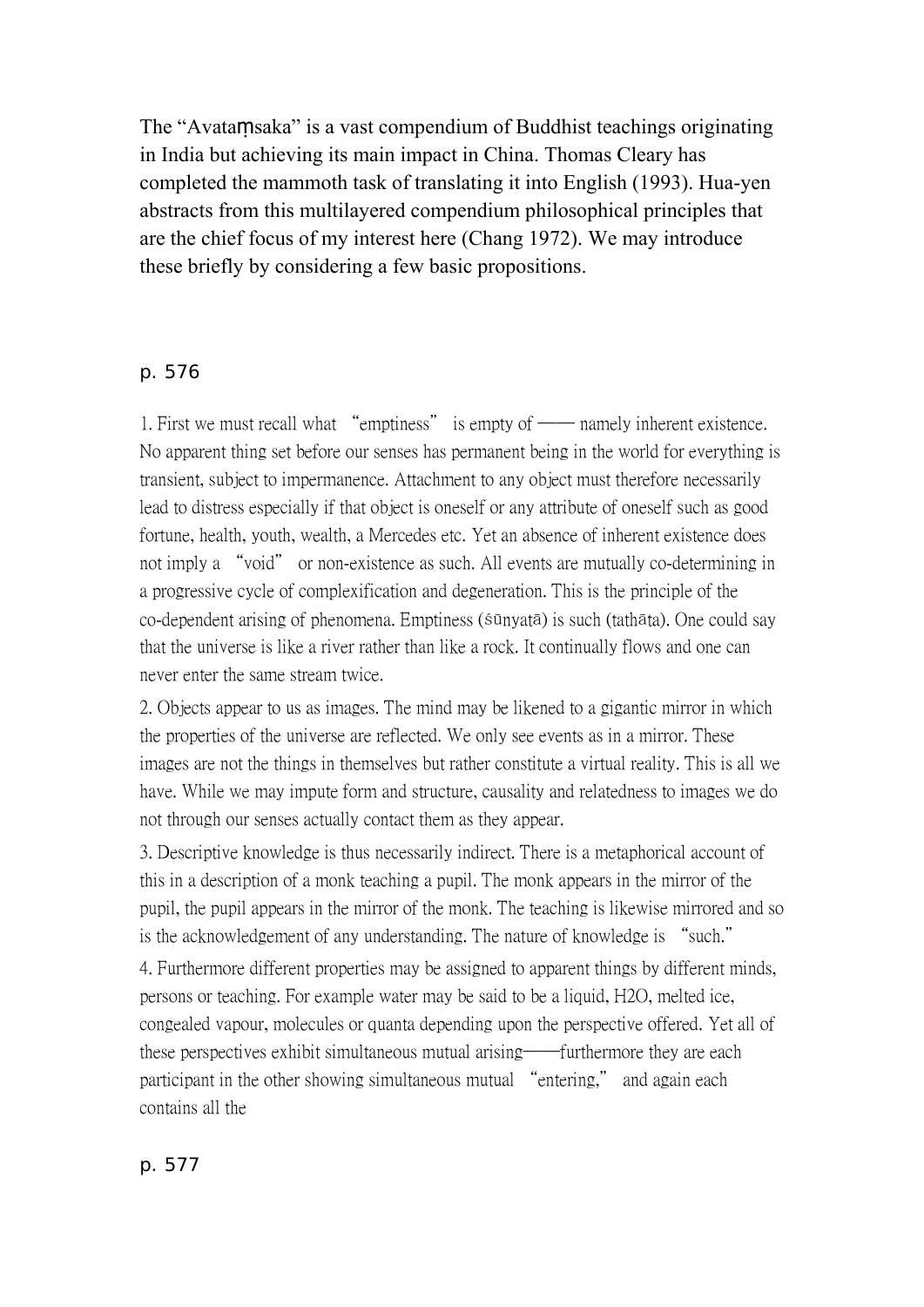The "Avataṃsaka" is a vast compendium of Buddhist teachings originating in India but achieving its main impact in China. Thomas Cleary has completed the mammoth task of translating it into English (1993). Hua-yen abstracts from this multilayered compendium philosophical principles that are the chief focus of my interest here (Chang 1972). We may introduce these briefly by considering a few basic propositions.

## p. 576

1. First we must recall what "emptiness" is empty of — namely inherent existence. No apparent thing set before our senses has permanent being in the world for everything is transient, subject to impermanence. Attachment to any object must therefore necessarily lead to distress especially if that object is oneself or any attribute of oneself such as good fortune, health, youth, wealth, a Mercedes etc. Yet an absence of inherent existence does not imply a "void" or non-existence as such. All events are mutually co-determining in a progressive cycle of complexification and degeneration. This is the principle of the co-dependent arising of phenomena. Emptiness (śūnyatā) is such (tathāta). One could say that the universe is like a river rather than like a rock. It continually flows and one can never enter the same stream twice.

2. Objects appear to us as images. The mind may be likened to a gigantic mirror in which the properties of the universe are reflected. We only see events as in a mirror. These images are not the things in themselves but rather constitute a virtual reality. This is all we have. While we may impute form and structure, causality and relatedness to images we do not through our senses actually contact them as they appear.

3. Descriptive knowledge is thus necessarily indirect. There is a metaphorical account of this in a description of a monk teaching a pupil. The monk appears in the mirror of the pupil, the pupil appears in the mirror of the monk. The teaching is likewise mirrored and so is the acknowledgement of any understanding. The nature of knowledge is "such."

4. Furthermore different properties may be assigned to apparent things by different minds, persons or teaching. For example water may be said to be a liquid, H2O, melted ice, congealed vapour, molecules or quanta depending upon the perspective offered. Yet all of these perspectives exhibit simultaneous mutual arising——furthermore they are each participant in the other showing simultaneous mutual "entering," and again each contains all the

#### p. 577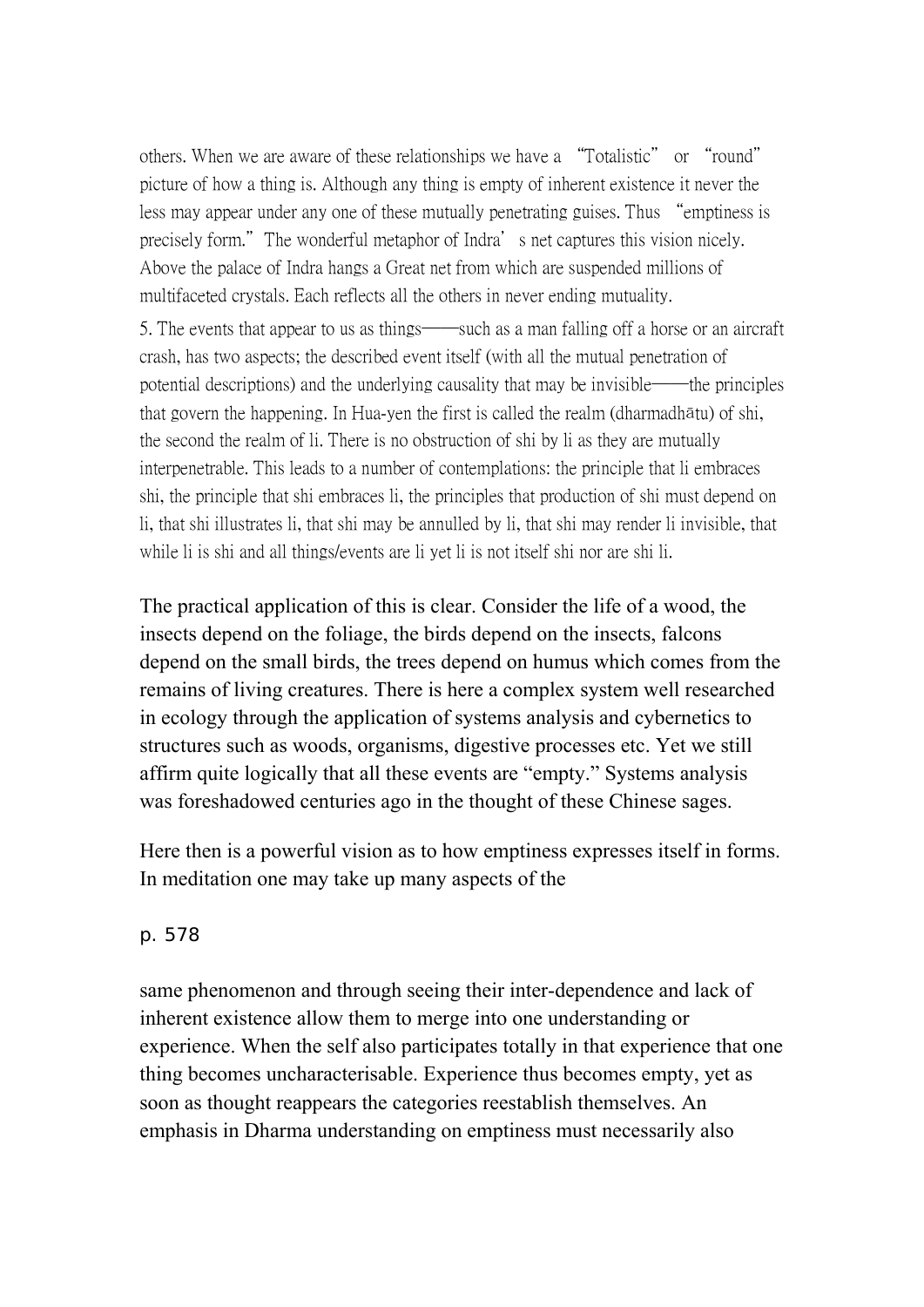others. When we are aware of these relationships we have a "Totalistic" or "round" picture of how a thing is. Although any thing is empty of inherent existence it never the less may appear under any one of these mutually penetrating guises. Thus "emptiness is precisely form." The wonderful metaphor of Indra's net captures this vision nicely. Above the palace of Indra hangs a Great net from which are suspended millions of multifaceted crystals. Each reflects all the others in never ending mutuality.

5. The events that appear to us as things—such as a man falling off a horse or an aircraft crash, has two aspects; the described event itself (with all the mutual penetration of potential descriptions) and the underlying causality that may be invisible ——the principles that govern the happening. In Hua-yen the first is called the realm (dharmadhātu) of shi, the second the realm of li. There is no obstruction of shi by li as they are mutually interpenetrable. This leads to a number of contemplations: the principle that li embraces shi, the principle that shi embraces li, the principles that production of shi must depend on li, that shi illustrates li, that shi may be annulled by li, that shi may render li invisible, that while li is shi and all things/events are li yet li is not itself shi nor are shi li.

The practical application of this is clear. Consider the life of a wood, the insects depend on the foliage, the birds depend on the insects, falcons depend on the small birds, the trees depend on humus which comes from the remains of living creatures. There is here a complex system well researched in ecology through the application of systems analysis and cybernetics to structures such as woods, organisms, digestive processes etc. Yet we still affirm quite logically that all these events are "empty." Systems analysis was foreshadowed centuries ago in the thought of these Chinese sages.

Here then is a powerful vision as to how emptiness expresses itself in forms. In meditation one may take up many aspects of the

### p. 578

same phenomenon and through seeing their inter-dependence and lack of inherent existence allow them to merge into one understanding or experience. When the self also participates totally in that experience that one thing becomes uncharacterisable. Experience thus becomes empty, yet as soon as thought reappears the categories reestablish themselves. An emphasis in Dharma understanding on emptiness must necessarily also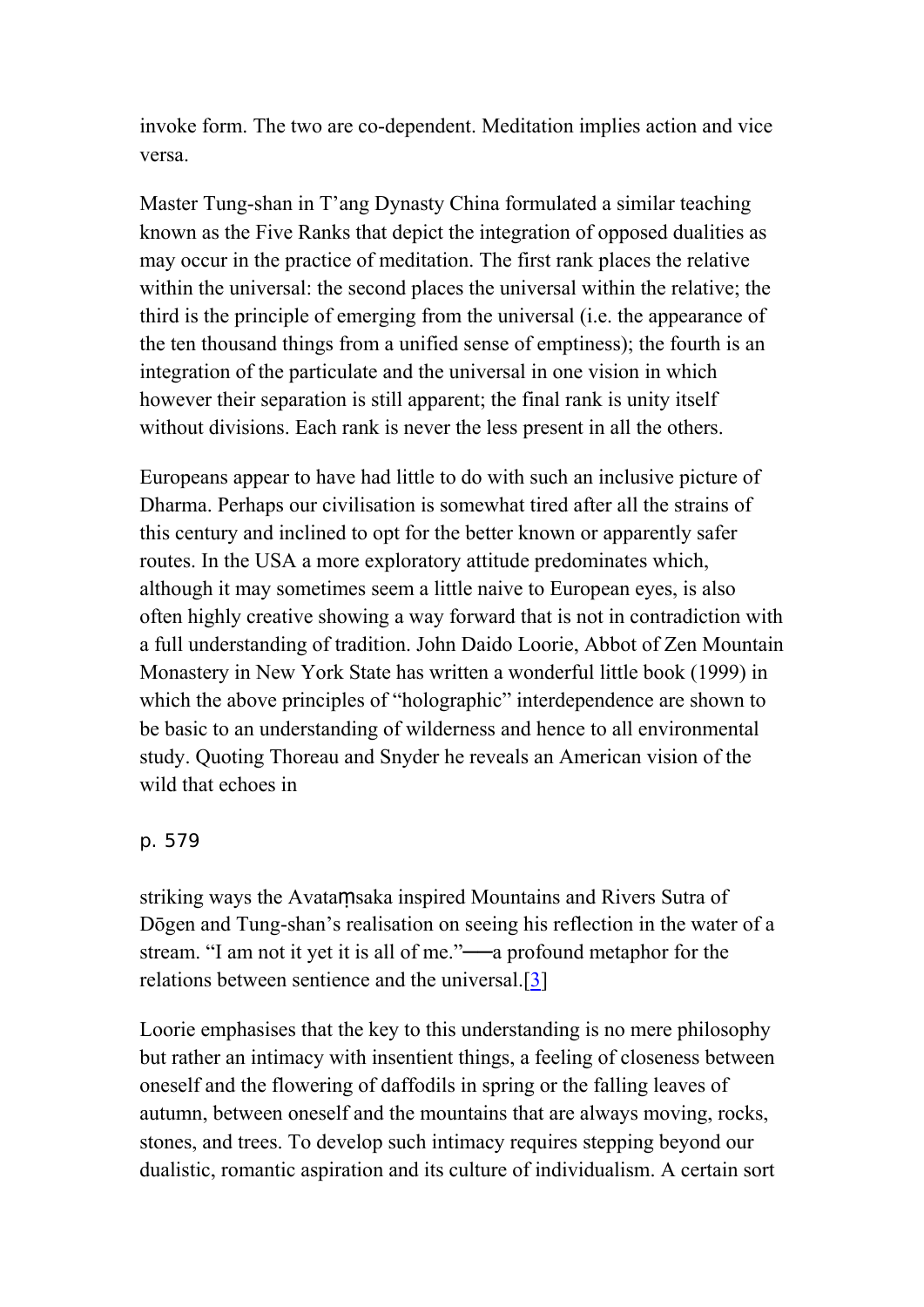invoke form. The two are co-dependent. Meditation implies action and vice versa.

Master Tung-shan in T'ang Dynasty China formulated a similar teaching known as the Five Ranks that depict the integration of opposed dualities as may occur in the practice of meditation. The first rank places the relative within the universal: the second places the universal within the relative; the third is the principle of emerging from the universal (i.e. the appearance of the ten thousand things from a unified sense of emptiness); the fourth is an integration of the particulate and the universal in one vision in which however their separation is still apparent; the final rank is unity itself without divisions. Each rank is never the less present in all the others.

Europeans appear to have had little to do with such an inclusive picture of Dharma. Perhaps our civilisation is somewhat tired after all the strains of this century and inclined to opt for the better known or apparently safer routes. In the USA a more exploratory attitude predominates which, although it may sometimes seem a little naive to European eyes, is also often highly creative showing a way forward that is not in contradiction with a full understanding of tradition. John Daido Loorie, Abbot of Zen Mountain Monastery in New York State has written a wonderful little book (1999) in which the above principles of "holographic" interdependence are shown to be basic to an understanding of wilderness and hence to all environmental study. Quoting Thoreau and Snyder he reveals an American vision of the wild that echoes in

### p. 579

striking ways the Avataṃsaka inspired Mountains and Rivers Sutra of Dōgen and Tung-shan's realisation on seeing his reflection in the water of a stream. "I am not it yet it is all of me."——a profound metaphor for the relations between sentience and the universal.[[3\]](http://www.chibs.edu.tw/ch_html/chbj/13/chbj1345.htm#nf3)

Loorie emphasises that the key to this understanding is no mere philosophy but rather an intimacy with insentient things, a feeling of closeness between oneself and the flowering of daffodils in spring or the falling leaves of autumn, between oneself and the mountains that are always moving, rocks, stones, and trees. To develop such intimacy requires stepping beyond our dualistic, romantic aspiration and its culture of individualism. A certain sort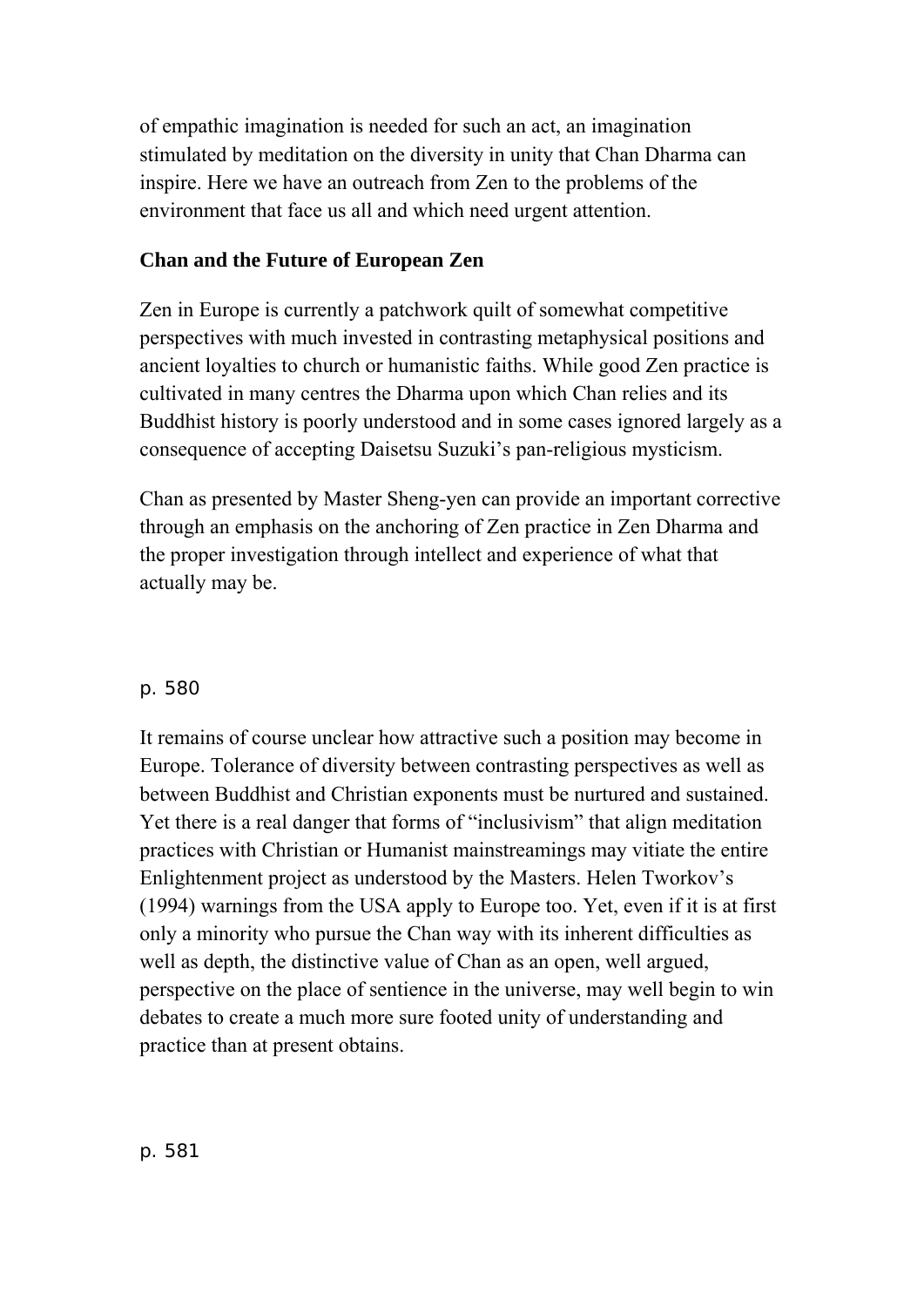of empathic imagination is needed for such an act, an imagination stimulated by meditation on the diversity in unity that Chan Dharma can inspire. Here we have an outreach from Zen to the problems of the environment that face us all and which need urgent attention.

## **Chan and the Future of European Zen**

Zen in Europe is currently a patchwork quilt of somewhat competitive perspectives with much invested in contrasting metaphysical positions and ancient loyalties to church or humanistic faiths. While good Zen practice is cultivated in many centres the Dharma upon which Chan relies and its Buddhist history is poorly understood and in some cases ignored largely as a consequence of accepting Daisetsu Suzuki's pan-religious mysticism.

Chan as presented by Master Sheng-yen can provide an important corrective through an emphasis on the anchoring of Zen practice in Zen Dharma and the proper investigation through intellect and experience of what that actually may be.

## p. 580

It remains of course unclear how attractive such a position may become in Europe. Tolerance of diversity between contrasting perspectives as well as between Buddhist and Christian exponents must be nurtured and sustained. Yet there is a real danger that forms of "inclusivism" that align meditation practices with Christian or Humanist mainstreamings may vitiate the entire Enlightenment project as understood by the Masters. Helen Tworkov's (1994) warnings from the USA apply to Europe too. Yet, even if it is at first only a minority who pursue the Chan way with its inherent difficulties as well as depth, the distinctive value of Chan as an open, well argued, perspective on the place of sentience in the universe, may well begin to win debates to create a much more sure footed unity of understanding and practice than at present obtains.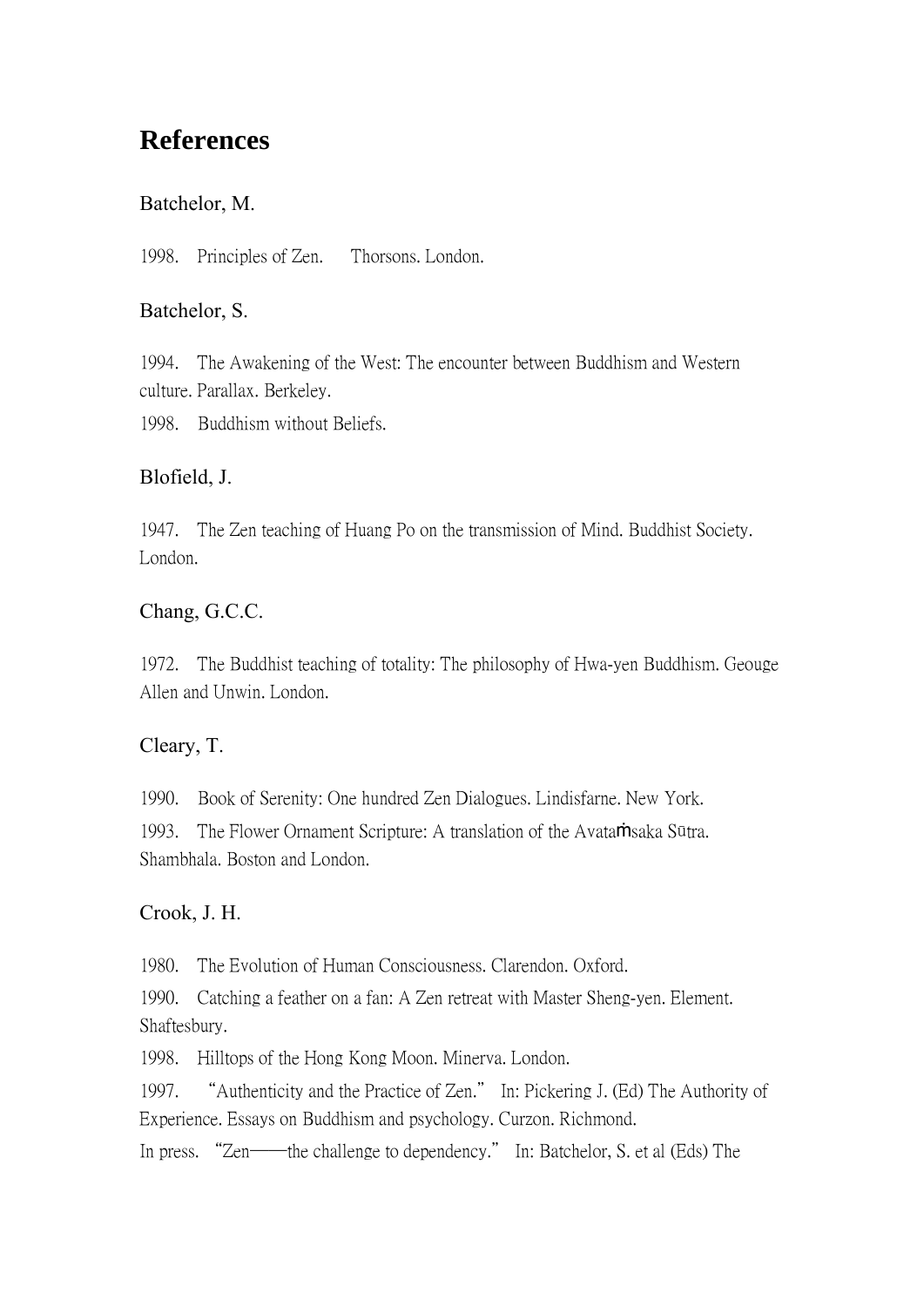## **References**

## Batchelor, M.

1998. Principles of Zen. Thorsons. London.

## Batchelor, S.

1994. The Awakening of the West: The encounter between Buddhism and Western culture. Parallax. Berkeley.

1998. Buddhism without Beliefs.

## Blofield, J.

1947. The Zen teaching of Huang Po on the transmission of Mind. Buddhist Society. London.

## Chang, G.C.C.

1972. The Buddhist teaching of totality: The philosophy of Hwa-yen Buddhism. Geouge Allen and Unwin. London.

## Cleary, T.

1990. Book of Serenity: One hundred Zen Dialogues. Lindisfarne. New York. 1993. The Flower Ornament Scripture: A translation of the Avataṁsaka Sūtra. Shambhala. Boston and London.

## Crook, J. H.

1980. The Evolution of Human Consciousness. Clarendon. Oxford.

1990. Catching a feather on a fan: A Zen retreat with Master Sheng-yen. Element. Shaftesbury.

1998. Hilltops of the Hong Kong Moon. Minerva. London.

1997. "Authenticity and the Practice of Zen." In: Pickering J. (Ed) The Authority of Experience. Essays on Buddhism and psychology. Curzon. Richmond.

In press. "Zen——the challenge to dependency." In: Batchelor, S. et al (Eds) The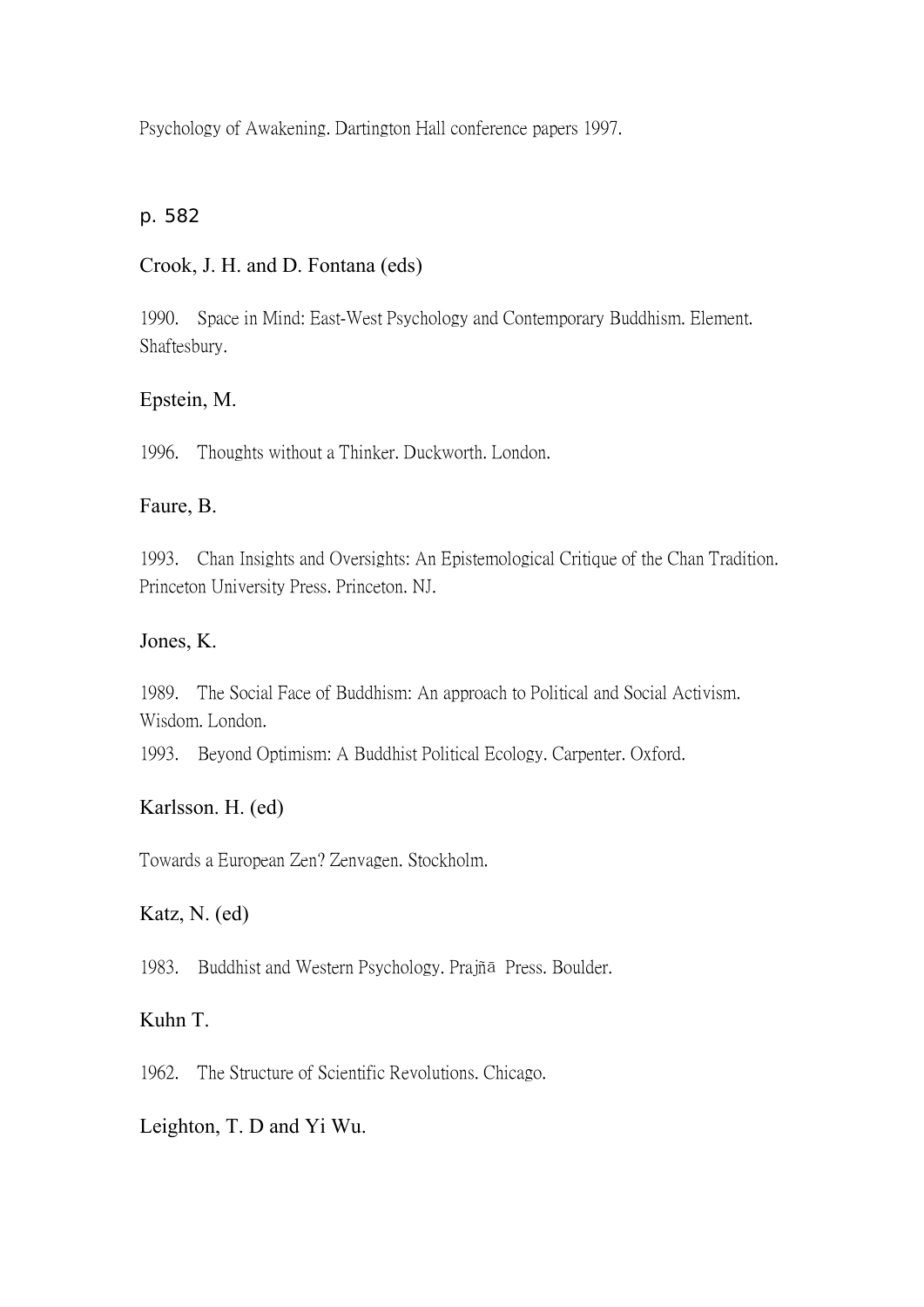Psychology of Awakening. Dartington Hall conference papers 1997.

### p. 582

## Crook, J. H. and D. Fontana (eds)

1990. Space in Mind: East-West Psychology and Contemporary Buddhism. Element. Shaftesbury.

## Epstein, M.

1996. Thoughts without a Thinker. Duckworth. London.

## Faure, B.

1993. Chan Insights and Oversights: An Epistemological Critique of the Chan Tradition. Princeton University Press. Princeton. NJ.

### Jones, K.

1989. The Social Face of Buddhism: An approach to Political and Social Activism. Wisdom. London.

1993. Beyond Optimism: A Buddhist Political Ecology. Carpenter. Oxford.

## Karlsson. H. (ed)

Towards a European Zen? Zenvagen. Stockholm.

## Katz, N. (ed)

1983. Buddhist and Western Psychology. Prajñā Press. Boulder.

## Kuhn T.

1962. The Structure of Scientific Revolutions. Chicago.

## Leighton, T. D and Yi Wu.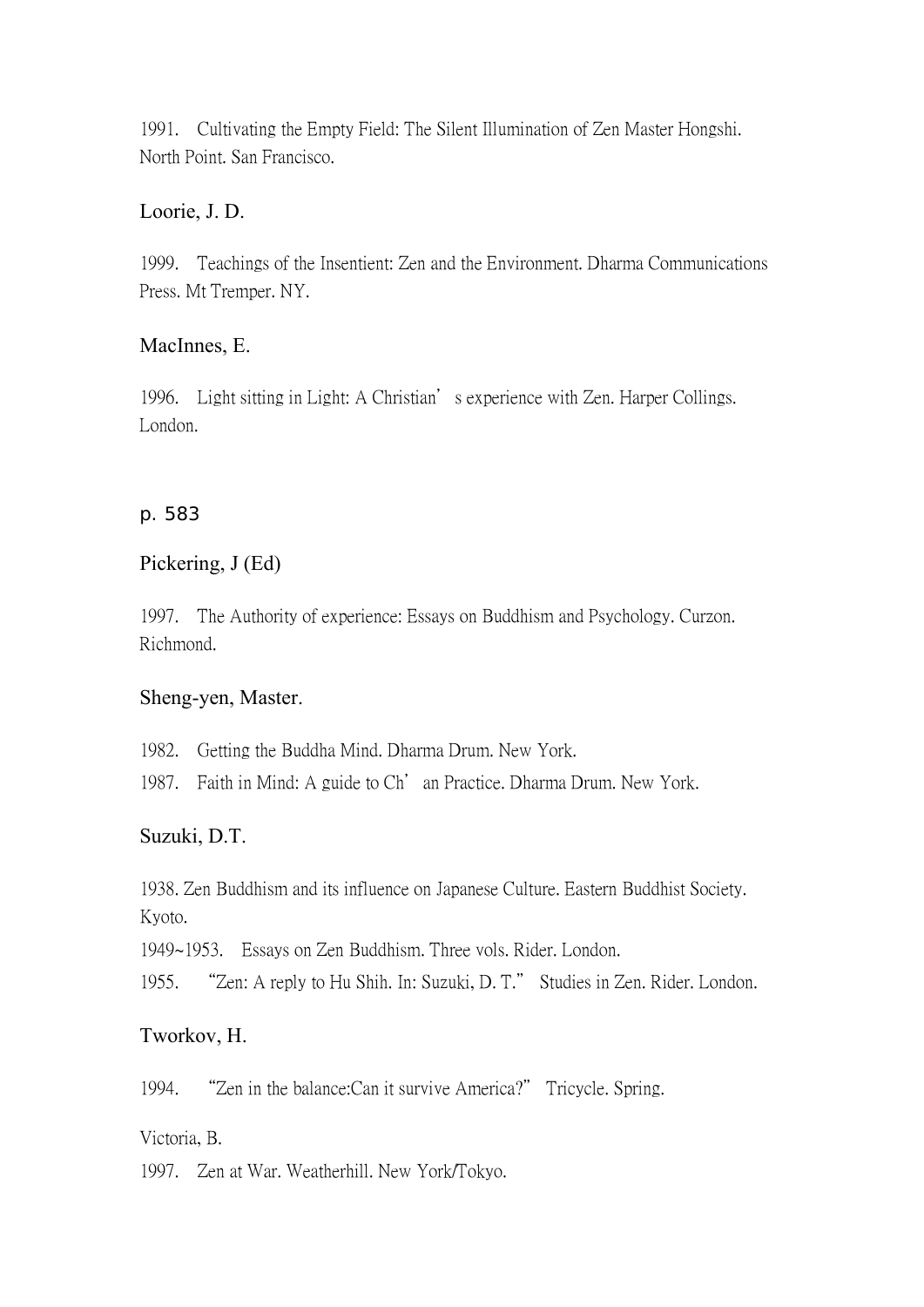1991. Cultivating the Empty Field: The Silent Illumination of Zen Master Hongshi. North Point. San Francisco.

## Loorie, J. D.

1999. Teachings of the Insentient: Zen and the Environment. Dharma Communications Press. Mt Tremper. NY.

## MacInnes, E.

1996. Light sitting in Light: A Christian's experience with Zen. Harper Collings. London.

## p. 583

## Pickering, J (Ed)

1997. The Authority of experience: Essays on Buddhism and Psychology. Curzon. Richmond.

## Sheng-yen, Master.

1982. Getting the Buddha Mind. Dharma Drum. New York.

1987. Faith in Mind: A guide to Ch'an Practice. Dharma Drum. New York.

## Suzuki, D.T.

1938. Zen Buddhism and its influence on Japanese Culture. Eastern Buddhist Society. Kyoto.

1949~1953. Essays on Zen Buddhism. Three vols. Rider. London.

1955. "Zen: A reply to Hu Shih. In: Suzuki, D. T." Studies in Zen. Rider. London.

## Tworkov, H.

1994. "Zen in the balance:Can it survive America?" Tricycle. Spring.

Victoria, B.

1997. Zen at War. Weatherhill. New York/Tokyo.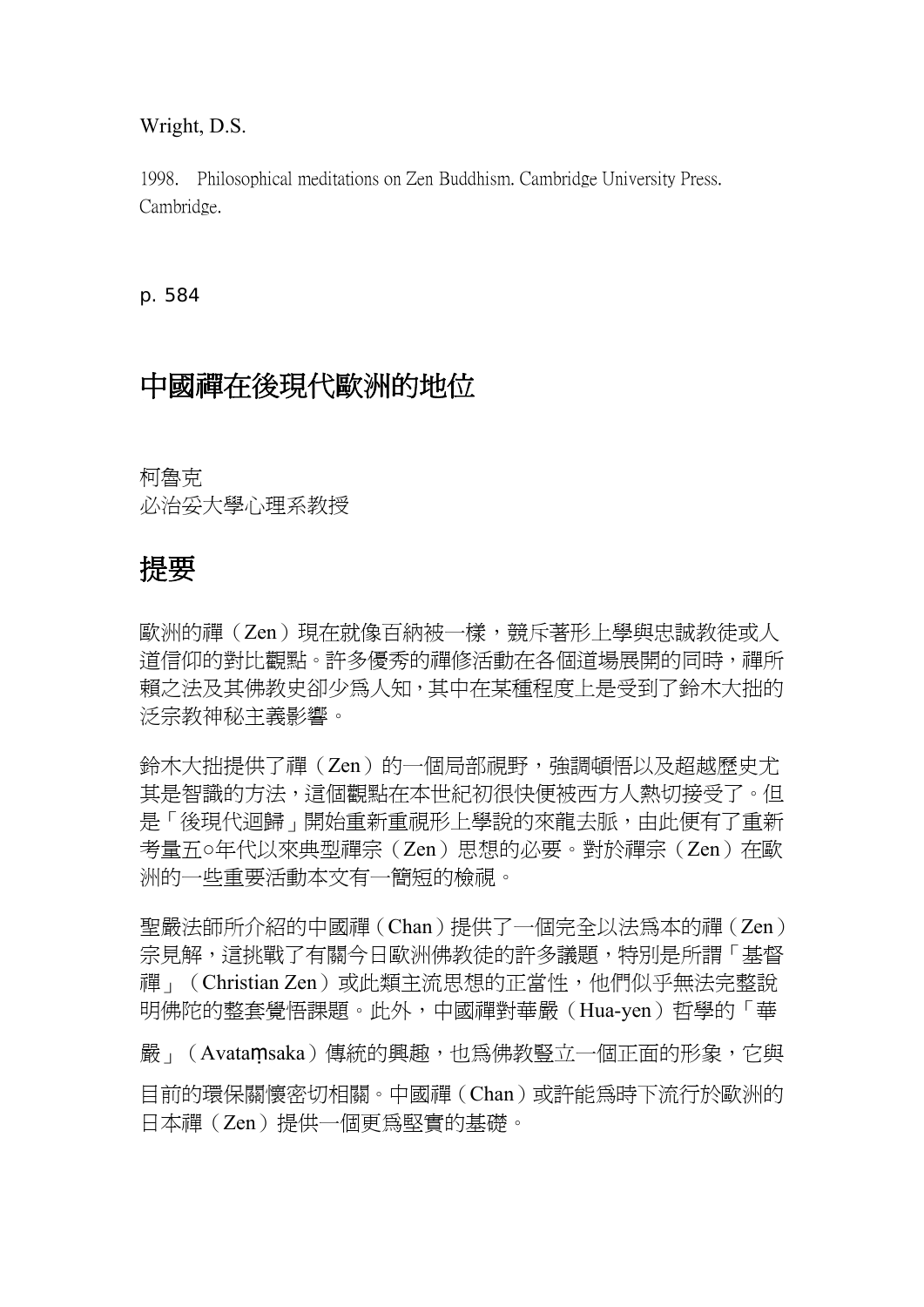#### Wright, D.S.

1998. Philosophical meditations on Zen Buddhism. Cambridge University Press. Cambridge.

p. 584

## 中國禪在後現代歐洲的地位

柯魯克 必治妥大學心理系教授

## 提要

歐洲的禪(Zen)現在就像百納被一樣,競斥著形上學與忠誠教徒或人 道信仰的對比觀點。許多優秀的禪修活動在各個道場展開的同時,禪所 賴之法及其佛教史卻少為人知,其中在某種程度上是受到了鈴木大拙的 泛宗教神秘主義影響。

鈴木大拙提供了禪(Zen)的一個局部視野,強調頓悟以及超越歷史尤 其是智識的方法,這個觀點在本世紀初很快便被西方人熱切接受了。但 是「後現代迴歸」開始重新重視形上學說的來龍去脈,由此便有了重新 考量五○年代以來典型禪宗(Zen)思想的必要。對於禪宗(Zen)在歐 洲的一些重要活動本文有一簡短的檢視。

聖嚴法師所介紹的中國禪(Chan)提供了一個完全以法為本的禪(Zen) 宗見解,這挑戰了有關今日歐洲佛教徒的許多議題,特別是所謂「基督 禪」(Christian Zen)或此類主流思想的正當性,他們似乎無法完整說 明佛陀的整套覺悟課題。此外,中國禪對華嚴(Hua-yen)哲學的「華 嚴」(Avataṃsaka)傳統的興趣,也為佛教豎立一個正面的形象,它與 目前的環保關懷密切相關。中國禪(Chan)或許能為時下流行於歐洲的 日本禪(Zen)提供一個更為堅實的基礎。